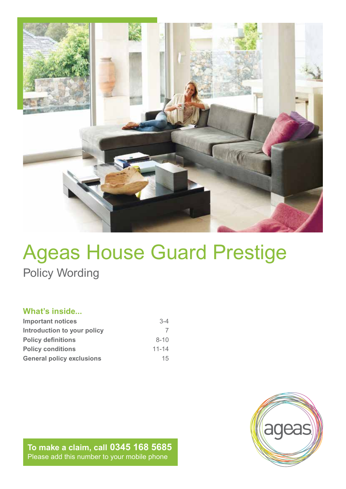

## Ageas House Guard Prestige Policy Wording

## **What's inside...**

| <b>Important notices</b>         | $3-4$     |
|----------------------------------|-----------|
| Introduction to your policy      |           |
| <b>Policy definitions</b>        | $8 - 10$  |
| <b>Policy conditions</b>         | $11 - 14$ |
| <b>General policy exclusions</b> | 15        |

**To make a claim, call 0345 168 5685** Please add this number to your mobile phone

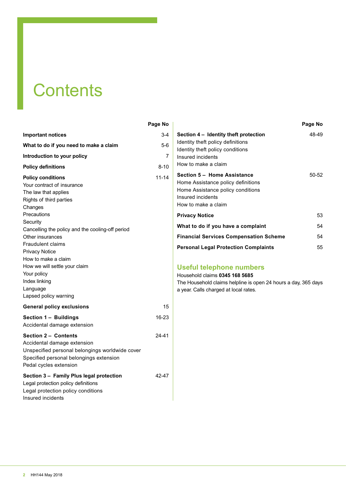## **Contents**

|                                                                                                                                                                                                                                                                                                                                                                                                           | Page No   |
|-----------------------------------------------------------------------------------------------------------------------------------------------------------------------------------------------------------------------------------------------------------------------------------------------------------------------------------------------------------------------------------------------------------|-----------|
| <b>Important notices</b>                                                                                                                                                                                                                                                                                                                                                                                  | 3-4       |
| What to do if you need to make a claim                                                                                                                                                                                                                                                                                                                                                                    | 5-6       |
| Introduction to your policy                                                                                                                                                                                                                                                                                                                                                                               | 7         |
| <b>Policy definitions</b>                                                                                                                                                                                                                                                                                                                                                                                 | $8 - 10$  |
| <b>Policy conditions</b><br>Your contract of insurance<br>The law that applies<br>Rights of third parties<br>Changes<br>Precautions<br>Security<br>Cancelling the policy and the cooling-off period<br>Other insurances<br><b>Fraudulent claims</b><br><b>Privacy Notice</b><br>How to make a claim<br>How we will settle your claim<br>Your policy<br>Index linking<br>Language<br>Lapsed policy warning | $11 - 14$ |
| <b>General policy exclusions</b>                                                                                                                                                                                                                                                                                                                                                                          | 15        |
| Section 1 - Buildings<br>Accidental damage extension                                                                                                                                                                                                                                                                                                                                                      | 16-23     |
| <b>Section 2 - Contents</b><br>Accidental damage extension<br>Unspecified personal belongings worldwide cover<br>Specified personal belongings extension<br>Pedal cycles extension                                                                                                                                                                                                                        | 24-41     |
| Section 3 – Family Plus legal protection<br>Legal protection policy definitions<br>Legal protection policy conditions<br>Insured incidents                                                                                                                                                                                                                                                                | 42-47     |

|                                                                                                                                                            | Page No |
|------------------------------------------------------------------------------------------------------------------------------------------------------------|---------|
| Section 4 – Identity theft protection<br>Identity theft policy definitions<br>Identity theft policy conditions<br>Insured incidents<br>How to make a claim | 48-49   |
| Section 5 - Home Assistance<br>Home Assistance policy definitions<br>Home Assistance policy conditions<br>Insured incidents<br>How to make a claim         | 50-52   |
| <b>Privacy Notice</b>                                                                                                                                      | 53      |
| What to do if you have a complaint                                                                                                                         | 54      |
| <b>Financial Services Compensation Scheme</b>                                                                                                              | 54      |
| <b>Personal Legal Protection Complaints</b>                                                                                                                | 55      |

## **Useful telephone numbers**

Household claims **0345 168 5685**

The Household claims helpline is open 24 hours a day, 365 days a year. Calls charged at local rates.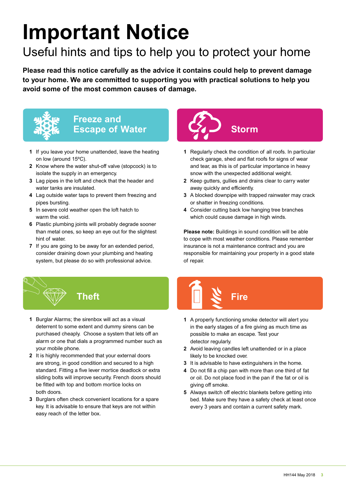# **Important Notice**

## Useful hints and tips to help you to protect your home

**Please read this notice carefully as the advice it contains could help to prevent damage to your home. We are committed to supporting you with practical solutions to help you avoid some of the most common causes of damage.**



# **Freeze and**

- **1** If you leave your home unattended, leave the heating on low (around 15ºC).
- **2** Know where the water shut-off valve (stopcock) is to isolate the supply in an emergency.
- **3** Lag pipes in the loft and check that the header and water tanks are insulated.
- **4** Lag outside water taps to prevent them freezing and pipes bursting.
- **5** In severe cold weather open the loft hatch to warm the void.
- **6** Plastic plumbing joints will probably degrade sooner than metal ones, so keep an eye out for the slightest hint of water.
- **7** If you are going to be away for an extended period, consider draining down your plumbing and heating system, but please do so with professional advice.



- **1** Regularly check the condition of all roofs. In particular check garage, shed and flat roofs for signs of wear and tear, as this is of particular importance in heavy snow with the unexpected additional weight.
- **2** Keep gutters, gullies and drains clear to carry water away quickly and efficiently.
- **3** A blocked downpipe with trapped rainwater may crack or shatter in freezing conditions.
- **4** Consider cutting back low hanging tree branches which could cause damage in high winds.

**Please note:** Buildings in sound condition will be able to cope with most weather conditions. Please remember insurance is not a maintenance contract and you are responsible for maintaining your property in a good state of repair.



- **1** Burglar Alarms; the sirenbox will act as a visual deterrent to some extent and dummy sirens can be purchased cheaply. Choose a system that lets off an alarm or one that dials a programmed number such as your mobile phone.
- **2** It is highly recommended that your external doors are strong, in good condition and secured to a high standard. Fitting a five lever mortice deadlock or extra sliding bolts will improve security. French doors should be fitted with top and bottom mortice locks on both doors.
- **3** Burglars often check convenient locations for a spare key. It is advisable to ensure that keys are not within easy reach of the letter box.
- **Theft Fire**
	- **1** A properly functioning smoke detector will alert you in the early stages of a fire giving as much time as possible to make an escape. Test your detector regularly.
	- **2** Avoid leaving candles left unattended or in a place likely to be knocked over.
	- **3** It is advisable to have extinguishers in the home.
	- **4** Do not fill a chip pan with more than one third of fat or oil. Do not place food in the pan if the fat or oil is giving off smoke.
	- **5** Always switch off electric blankets before getting into bed. Make sure they have a safety check at least once every 3 years and contain a current safety mark.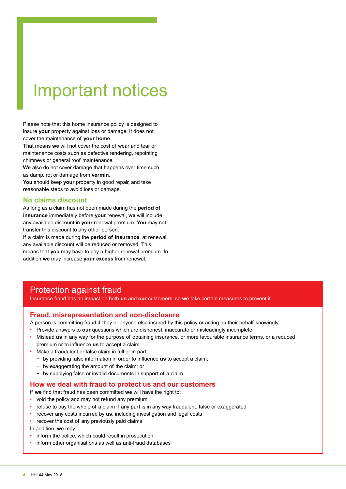## Important notices

Please note that this home insurance policy is designed to insure **your** property against loss or damage. It does not cover the maintenance of **your home**.

That means **we** will not cover the cost of wear and tear or maintenance costs such as defective rendering, repointing chimneys or general roof maintenance.

**We** also do not cover damage that happens over time such as damp, rot or damage from **vermin**.

**You** should keep **your** property in good repair, and take reasonable steps to avoid loss or damage.

## **No claims discount**

As long as a claim has not been made during the **period of insurance** immediately before **your** renewal, **we** will include any available discount in **your** renewal premium. **You** may not transfer this discount to any other person.

If a claim is made during the **period of insurance**, at renewal any available discount will be reduced or removed. This means that **you** may have to pay a higher renewal premium. In addition **we** may increase **your excess** from renewal.

## Protection against fraud

Insurance fraud has an impact on both **us** and **our** customers, so **we** take certain measures to prevent it.

## **Fraud, misrepresentation and non-disclosure**

- A person is committing fraud if they or anyone else insured by this policy or acting on their behalf knowingly:
- Provide answers to **our** questions which are dishonest, inaccurate or misleadingly incomplete
- Mislead **us** in any way for the purpose of obtaining insurance, or more favourable insurance terms, or a reduced premium or to influence **us** to accept a claim
- Make a fraudulent or false claim in full or in part:
	- − by providing false information in order to influence **us** to accept a claim;
	- − by exaggerating the amount of the claim; or
	- − by supplying false or invalid documents in support of a claim.

### **How we deal with fraud to protect us and our customers**

If **we** find that fraud has been committed **we** will have the right to:

- void the policy and may not refund any premium
- refuse to pay the whole of a claim if any part is in any way fraudulent, false or exaggerated
- recover any costs incurred by **us**, including investigation and legal costs
- recover the cost of any previously paid claims

In addition, **we** may:

- inform the police, which could result in prosecution
- inform other organisations as well as anti-fraud databases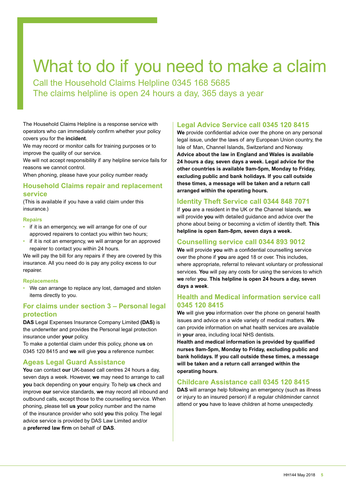## What to do if you need to make a claim

Call the Household Claims Helpline 0345 168 5685 The claims helpline is open 24 hours a day, 365 days a year

The Household Claims Helpline is a response service with operators who can immediately confirm whether your policy covers you for the **incident**.

We may record or monitor calls for training purposes or to improve the quality of our service.

We will not accept responsibility if any helpline service fails for reasons we cannot control.

When phoning, please have your policy number ready.

## **Household Claims repair and replacement service**

(This is available if you have a valid claim under this insurance.)

#### **Repairs**

- if it is an emergency, we will arrange for one of our approved repairers to contact you within two hours;
- if it is not an emergency, we will arrange for an approved repairer to contact you within 24 hours.

We will pay the bill for any repairs if they are covered by this insurance. All you need do is pay any policy excess to our repairer.

#### **Replacements**

• We can arrange to replace any lost, damaged and stolen items directly to you.

## **For claims under section 3 – Personal legal protection**

**DAS** Legal Expenses Insurance Company Limited **(DAS)** is the underwriter and provides the Personal legal protection insurance under **your** policy.

To make a potential claim under this policy, phone **us** on 0345 120 8415 and **we** will give **you** a reference number.

## **Ageas Legal Guard Assistance**

**You** can contact **our** UK-based call centres 24 hours a day, seven days a week. However, **we** may need to arrange to call **you** back depending on **your** enquiry. To help **us** check and improve **our** service standards, **we** may record all inbound and outbound calls, except those to the counselling service. When phoning, please tell **us your** policy number and the name of the insurance provider who sold **you** this policy. The legal advice service is provided by DAS Law Limited and/or a **preferred law firm** on behalf of **DAS**.

## **Legal Advice Service call 0345 120 8415**

**We** provide confidential advice over the phone on any personal legal issue, under the laws of any European Union country, the Isle of Man, Channel Islands, Switzerland and Norway. **Advice about the law in England and Wales is available 24 hours a day, seven days a week. Legal advice for the other countries is available 9am-5pm, Monday to Friday, excluding public and bank holidays. If you call outside these times, a message will be taken and a return call arranged within the operating hours.**

## **Identity Theft Service call 0344 848 7071**

If **you** are a resident in the UK or the Channel Islands, **we** will provide **you** with detailed guidance and advice over the phone about being or becoming a victim of identity theft. **This helpline is open 8am-8pm, seven days a week.**

## **Counselling service call 0344 893 9012**

**We** will provide **you** with a confidential counselling service over the phone if **you** are aged 18 or over. This includes, where appropriate, referral to relevant voluntary or professional services. **You** will pay any costs for using the services to which **we** refer **you**. **This helpline is open 24 hours a day, seven days a week**.

## **Health and Medical information service call 0345 120 8415**

**We** will give **you** information over the phone on general health issues and advice on a wide variety of medical matters. **We** can provide information on what health services are available in **your** area, including local NHS dentists.

**Health and medical information is provided by qualified nurses 9am-5pm, Monday to Friday, excluding public and bank holidays. If you call outside these times, a message will be taken and a return call arranged within the operating hours**.

## **Childcare Assistance call 0345 120 8415**

**DAS** will arrange help following an emergency (such as illness or injury to an insured person) if a regular childminder cannot attend or **you** have to leave children at home unexpectedly.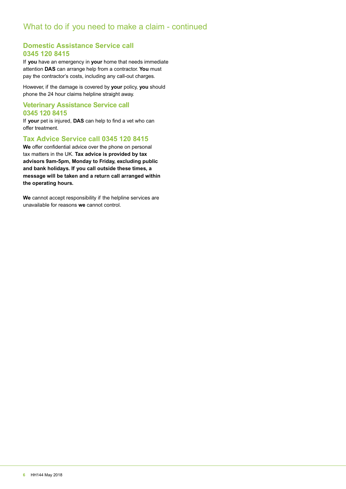## **Domestic Assistance Service call 0345 120 8415**

If **you** have an emergency in **your** home that needs immediate attention **DAS** can arrange help from a contractor. **You** must pay the contractor's costs, including any call-out charges.

However, if the damage is covered by **your** policy, **you** should phone the 24 hour claims helpline straight away.

## **Veterinary Assistance Service call 0345 120 8415**

If **your** pet is injured, **DAS** can help to find a vet who can offer treatment.

## **Tax Advice Service call 0345 120 8415**

**We** offer confidential advice over the phone on personal tax matters in the UK. **Tax advice is provided by tax advisors 9am-5pm, Monday to Friday, excluding public and bank holidays. If you call outside these times, a message will be taken and a return call arranged within the operating hours.**

**We** cannot accept responsibility if the helpline services are unavailable for reasons **we** cannot control.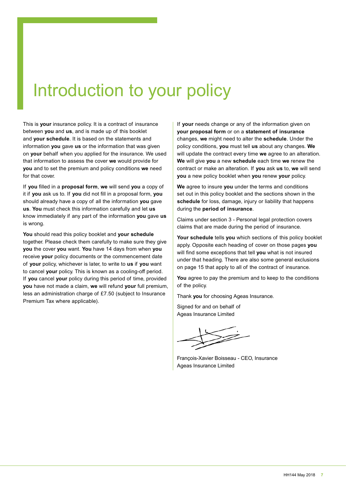## Introduction to your policy

This is **your** insurance policy. It is a contract of insurance between **you** and **us**, and is made up of this booklet and **your schedule**. It is based on the statements and information **you** gave **us** or the information that was given on **your** behalf when you applied for the insurance. We used that information to assess the cover **we** would provide for **you** and to set the premium and policy conditions **we** need for that cover.

If **you** filled in a **proposal form**, **we** will send **you** a copy of it if **you** ask us to. If **you** did not fill in a proposal form, **you** should already have a copy of all the information **you** gave **us**. **You** must check this information carefully and let **us** know immediately if any part of the information **you** gave **us** is wrong.

**You** should read this policy booklet and **your schedule** together. Please check them carefully to make sure they give **you** the cover **you** want. **You** have 14 days from when **you** receive **your** policy documents or the commencement date of **your** policy, whichever is later, to write to **us** if **you** want to cancel **your** policy. This is known as a cooling-off period. If **you** cancel **your** policy during this period of time, provided **you** have not made a claim, **we** will refund **your** full premium, less an administration charge of £7.50 (subject to Insurance Premium Tax where applicable).

If **your** needs change or any of the information given on **your proposal form** or on a **statement of insurance** changes, **we** might need to alter the **schedule**. Under the policy conditions, **you** must tell **us** about any changes. **We** will update the contract every time **we** agree to an alteration. **We** will give **you** a new **schedule** each time **we** renew the contract or make an alteration. If **you** ask **us** to, **we** will send **you** a new policy booklet when **you** renew **your** policy.

**We** agree to insure **you** under the terms and conditions set out in this policy booklet and the sections shown in the **schedule** for loss, damage, injury or liability that happens during the **period of insurance**.

Claims under section 3 - Personal legal protection covers claims that are made during the period of insurance.

**Your schedule** tells **you** which sections of this policy booklet apply. Opposite each heading of cover on those pages **you** will find some exceptions that tell **you** what is not insured under that heading. There are also some general exclusions on page 15 that apply to all of the contract of insurance.

**You** agree to pay the premium and to keep to the conditions of the policy.

Thank **you** for choosing Ageas Insurance.

Signed for and on behalf of Ageas Insurance Limited

François-Xavier Boisseau - CEO, Insurance Ageas Insurance Limited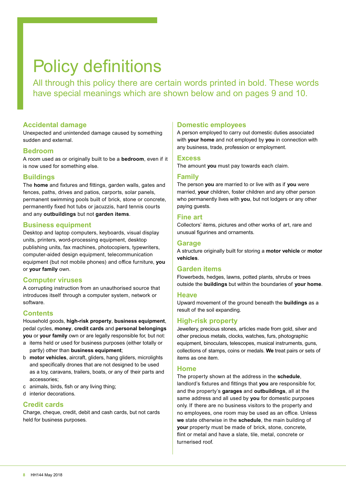## Policy definitions

All through this policy there are certain words printed in bold. These words have special meanings which are shown below and on pages 9 and 10.

## **Accidental damage**

Unexpected and unintended damage caused by something sudden and external.

## **Bedroom**

A room used as or originally built to be a **bedroom**, even if it is now used for something else.

## **Buildings**

The **home** and fixtures and fittings, garden walls, gates and fences, paths, drives and patios, carports, solar panels, permanent swimming pools built of brick, stone or concrete, permanently fixed hot tubs or jacuzzis, hard tennis courts and any **outbuildings** but not **garden items**.

## **Business equipment**

Desktop and laptop computers, keyboards, visual display units, printers, word-processing equipment, desktop publishing units, fax machines, photocopiers, typewriters, computer-aided design equipment, telecommunication equipment (but not mobile phones) and office furniture, **you** or **your family** own.

## **Computer viruses**

A corrupting instruction from an unauthorised source that introduces itself through a computer system, network or software.

## **Contents**

Household goods, **high-risk property**, **business equipment**, pedal cycles, **money**, **credit cards** and **personal belongings you** or **your family** own or are legally responsible for, but not:

- a items held or used for business purposes (either totally or partly) other than **business equipment**;
- b **motor vehicles**, aircraft, gliders, hang gliders, microlights and specifically drones that are not designed to be used as a toy, caravans, trailers, boats, or any of their parts and accessories;
- c animals, birds, fish or any living thing;
- d interior decorations.

## **Credit cards**

Charge, cheque, credit, debit and cash cards, but not cards held for business purposes.

## **Domestic employees**

A person employed to carry out domestic duties associated with **your home** and not employed by **you** in connection with any business, trade, profession or employment.

## **Excess**

The amount **you** must pay towards each claim.

## **Family**

The person **you** are married to or live with as if **you** were married, **your** children, foster children and any other person who permanently lives with **you**, but not lodgers or any other paying guests.

## **Fine art**

Collectors' items, pictures and other works of art, rare and unusual figurines and ornaments.

## **Garage**

A structure originally built for storing a **motor vehicle** or **motor vehicles**.

## **Garden items**

Flowerbeds, hedges, lawns, potted plants, shrubs or trees outside the **buildings** but within the boundaries of **your home**.

## **Heave**

Upward movement of the ground beneath the **buildings** as a result of the soil expanding.

## **High-risk property**

Jewellery, precious stones, articles made from gold, silver and other precious metals, clocks, watches, furs, photographic equipment, binoculars, telescopes, musical instruments, guns, collections of stamps, coins or medals. **We** treat pairs or sets of items as one item.

## **Home**

The property shown at the address in the **schedule**, landlord's fixtures and fittings that **you** are responsible for, and the property's **garages** and **outbuildings**, all at the same address and all used by **you** for domestic purposes only. If there are no business visitors to the property and no employees, one room may be used as an office. Unless **we** state otherwise in the **schedule**, the main building of **your** property must be made of brick, stone, concrete, flint or metal and have a slate, tile, metal, concrete or turnerised roof.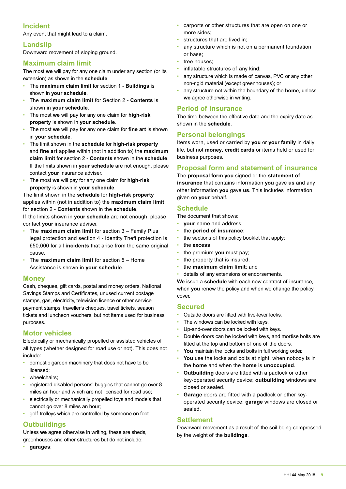## **Incident**

Any event that might lead to a claim.

## **Landslip**

Downward movement of sloping ground.

## **Maximum claim limit**

The most **we** will pay for any one claim under any section (or its extension) as shown in the **schedule**.

- The **maximum claim limit** for section 1 **Buildings** is shown in **your schedule**.
- The **maximum claim limit** for Section 2 **Contents** is shown in **your schedule**.
- The most **we** will pay for any one claim for **high-risk property** is shown in **your schedule**.
- The most **we** will pay for any one claim for **fine art** is shown in **your schedule**.
- The limit shown in the **schedule** for **high-risk property**  and **fine art** applies within (not in addition to) the **maximum claim limit** for section 2 - **Contents** shown in the **schedule**. If the limits shown in **your schedule** are not enough, please contact **your** insurance adviser.
- The most **we** will pay for any one claim for **high-risk property** is shown in **your schedule**.

The limit shown in the **schedule** for **high-risk property** applies within (not in addition to) the **maximum claim limit** for section 2 - **Contents** shown in the **schedule**.

If the limits shown in **your schedule** are not enough, please contact **your** insurance adviser.

- The **maximum claim limit** for section 3 Family Plus legal protection and section 4 - Identity Theft protection is £50,000 for all **incidents** that arise from the same original cause.
- The **maximum claim limit** for section 5 Home Assistance is shown in **your schedule**.

## **Money**

Cash, cheques, gift cards, postal and money orders, National Savings Stamps and Certificates, unused current postage stamps, gas, electricity, television licence or other service payment stamps, traveller's cheques, travel tickets, season tickets and luncheon vouchers, but not items used for business purposes.

## **Motor vehicles**

Electrically or mechanically propelled or assisted vehicles of all types (whether designed for road use or not). This does not include:

- domestic garden machinery that does not have to be licensed;
- wheelchairs;
- registered disabled persons' buggies that cannot go over 8 miles an hour and which are not licensed for road use;
- electrically or mechanically propelled toys and models that cannot go over 8 miles an hour;
- golf trolleys which are controlled by someone on foot.

## **Outbuildings**

Unless **we** agree otherwise in writing, these are sheds, greenhouses and other structures but do not include:

• **garages**;

- carports or other structures that are open on one or more sides;
- structures that are lived in;
- any structure which is not on a permanent foundation or base;
- tree houses:
- inflatable structures of any kind:
- any structure which is made of canvas, PVC or any other non-rigid material (except greenhouses); or
- any structure not within the boundary of the **home**, unless **we** agree otherwise in writing.

## **Period of insurance**

The time between the effective date and the expiry date as shown in the **schedule**.

## **Personal belongings**

Items worn, used or carried by **you** or **your family** in daily life, but not **money**, **credit cards** or items held or used for business purposes.

## **Proposal form and statement of insurance**

The **proposal form you** signed or the **statement of insurance** that contains information **you** gave **us** and any other information **you** gave **us**. This includes information given on **your** behalf.

## **Schedule**

The document that shows:

- **your** name and address;
- the **period of insurance**;
- the sections of this policy booklet that apply;
- the **excess**;
- the premium **you** must pay;
- the property that is insured;
- the **maximum claim limit**; and
- details of any extensions or endorsements.

**We** issue a **schedule** with each new contract of insurance, when **you** renew the policy and when we change the policy cover.

## **Secured**

- Outside doors are fitted with five-lever locks.
- The windows can be locked with keys.
- Up-and-over doors can be locked with keys.
- Double doors can be locked with keys, and mortise bolts are fitted at the top and bottom of one of the doors.
- **You** maintain the locks and bolts in full working order.
- You use the locks and bolts at night, when nobody is in the **home** and when the **home** is **unoccupied**.
- **Outbuilding** doors are fitted with a padlock or other key-operated security device; **outbuilding** windows are closed or sealed.
- **Garage** doors are fitted with a padlock or other keyoperated security device; **garage** windows are closed or sealed.

## **Settlement**

Downward movement as a result of the soil being compressed by the weight of the **buildings**.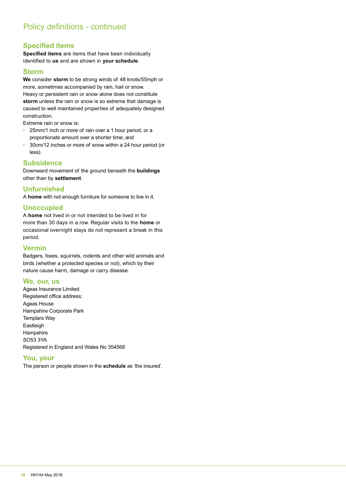## **Specified items**

**Specified items** are items that have been individually identified to **us** and are shown in **your schedule**.

## **Storm**

**We** consider **storm** to be strong winds of 48 knots/55mph or more, sometimes accompanied by rain, hail or snow. Heavy or persistent rain or snow alone does not constitute **storm** unless the rain or snow is so extreme that damage is caused to well maintained properties of adequately designed construction.

Extreme rain or snow is:

- 25mm/1 inch or more of rain over a 1 hour period, or a proportionate amount over a shorter time; and
- 30cm/12 inches or more of snow within a 24 hour period (or less).

## **Subsidence**

Downward movement of the ground beneath the **buildings** other than by **settlement**.

## **Unfurnished**

A **home** with not enough furniture for someone to live in it.

## **Unoccupied**

A **home** not lived in or not intended to be lived in for more than 30 days in a row. Regular visits to the **home** or occasional overnight stays do not represent a break in this period.

## **Vermin**

Badgers, foxes, squirrels, rodents and other wild animals and birds (whether a protected species or not), which by their nature cause harm, damage or carry disease.

## **We, our, us**

Ageas Insurance Limited. Registered office address: Ageas House Hampshire Corporate Park Templars Way Eastleigh **Hampshire** SO53 3YA Registered in England and Wales No 354568

## **You, your**

The person or people shown in the **schedule** as 'the insured'.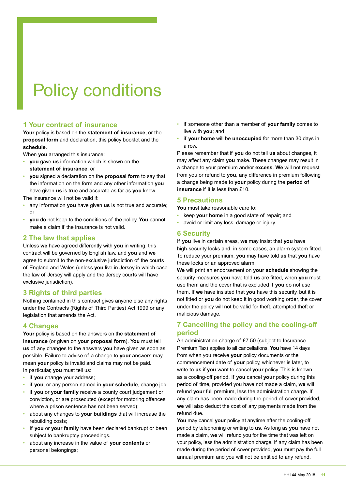# Policy conditions

## **1 Your contract of insurance**

**Your** policy is based on the **statement of insurance**, or the **proposal form** and declaration, this policy booklet and the **schedule**.

When **you** arranged this insurance:

- **you** gave **us** information which is shown on the **statement of insurance**; or
- **you** signed a declaration on the **proposal form** to say that the information on the form and any other information **you** have given **us** is true and accurate as far as **you** know.

The insurance will not be valid if:

- any information **you** have given **us** is not true and accurate; or
- **you** do not keep to the conditions of the policy. **You** cannot make a claim if the insurance is not valid.

## **2 The law that applies**

Unless **we** have agreed differently with **you** in writing, this contract will be governed by English law, and **you** and **we** agree to submit to the non-exclusive jurisdiction of the courts of England and Wales (unless **you** live in Jersey in which case the law of Jersey will apply and the Jersey courts will have exclusive jurisdiction).

## **3 Rights of third parties**

Nothing contained in this contract gives anyone else any rights under the Contracts (Rights of Third Parties) Act 1999 or any legislation that amends the Act.

## **4 Changes**

**Your** policy is based on the answers on the **statement of insurance** (or given on **your proposal form**). **You** must tell **us** of any changes to the answers **you** have given as soon as possible. Failure to advise of a change to **your** answers may mean **your** policy is invalid and claims may not be paid. In particular, **you** must tell us:

- if you change your address;
- if **you**, or any person named in **your schedule**, change job;
- if **you** or **your family** receive a county court judgement or conviction, or are prosecuted (except for motoring offences where a prison sentence has not been served);
- about any changes to **your buildings** that will increase the rebuilding costs;
- If **you** or **your family** have been declared bankrupt or been subject to bankruptcy proceedings.
- about any increase in the value of **your contents** or personal belongings;
- if someone other than a member of **your family** comes to live with **you**; and
- if **your home** will be **unoccupied** for more than 30 days in a row.

Please remember that if **you** do not tell **us** about changes, it may affect any claim **you** make. These changes may result in a change to your premium and/or **excess**. **We** will not request from you or refund to **you**, any difference in premium following a change being made to **your** policy during the **period of insurance** if it is less than £10.

## **5 Precautions**

**You** must take reasonable care to:

- keep **your home** in a good state of repair; and
- avoid or limit any loss, damage or injury.

## **6 Security**

If **you** live in certain areas, **we** may insist that **you** have high-security locks and, in some cases, an alarm system fitted. To reduce your premium, **you** may have told **us** that **you** have these locks or an approved alarm.

**We** will print an endorsement on **your schedule** showing the security measures **you** have told **us** are fitted, when **you** must use them and the cover that is excluded if **you** do not use them. If **we** have insisted that **you** have this security, but it is not fitted or **you** do not keep it in good working order, the cover under the policy will not be valid for theft, attempted theft or malicious damage.

## **7 Cancelling the policy and the cooling-off period**

An administration charge of £7.50 (subject to Insurance Premium Tax) applies to all cancellations. **You** have 14 days from when you receive **your** policy documents or the commencement date of **your** policy, whichever is later, to write to **us** if **you** want to cancel **your** policy. This is known as a cooling-off period. If **you** cancel **your** policy during this period of time, provided you have not made a claim, **we** will refund **your** full premium, less the administration charge. If any claim has been made during the period of cover provided, **we** will also deduct the cost of any payments made from the refund due.

**You** may cancel **your** policy at anytime after the cooling-off period by telephoning or writing to **us**. As long as **you** have not made a claim, **we** will refund you for the time that was left on your policy, less the administration charge. If any claim has been made during the period of cover provided, **you** must pay the full annual premium and you will not be entitled to any refund.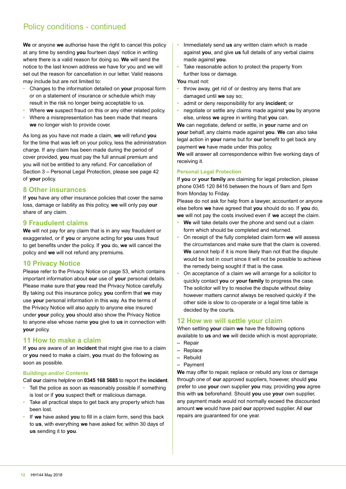## Policy conditions - continued

**We** or anyone **we** authorise have the right to cancel this policy at any time by sending **you** fourteen days' notice in writing where there is a valid reason for doing so. **We** will send the notice to the last known address we have for you and we will set out the reason for cancellation in our letter. Valid reasons may include but are not limited to:

- Changes to the information detailed on **your** proposal form or on a statement of insurance or schedule which may result in the risk no longer being acceptable to us.
- Where **we** suspect fraud on this or any other related policy.
- Where a misrepresentation has been made that means **we** no longer wish to provide cover.

As long as you have not made a claim, **we** will refund **you** for the time that was left on your policy, less the administration charge. If any claim has been made during the period of cover provided, **you** must pay the full annual premium and you will not be entitled to any refund. For cancellation of Section 3 – Personal Legal Protection, please see page 42 of **your** policy.

## **8 Other insurances**

If **you** have any other insurance policies that cover the same loss, damage or liability as this policy, **we** will only pay **our** share of any claim.

## **9 Fraudulent claims**

**We** will not pay for any claim that is in any way fraudulent or exaggerated, or if **you** or anyone acting for **you** uses fraud to get benefits under the policy. If **you** do, **we** will cancel the policy and **we** will not refund any premiums.

## **10 Privacy Notice**

Please refer to the Privacy Notice on page 53, which contains important information about **our** use of **your** personal details. Please make sure that **you** read the Privacy Notice carefully. By taking out this insurance policy, **you** confirm that **we** may use **your** personal information in this way. As the terms of the Privacy Notice will also apply to anyone else insured under **your** policy, **you** should also show the Privacy Notice to anyone else whose name **you** give to **us** in connection with **your** policy.

## **11 How to make a claim**

If **you** are aware of an **incident** that might give rise to a claim or **you** need to make a claim, **you** must do the following as soon as possible.

## **Buildings and/or Contents**

Call **our** claims helpline on **0345 168 5685** to report the **incident**.

- Tell the police as soon as reasonably possible if something is lost or if **you** suspect theft or malicious damage.
- Take all practical steps to get back any property which has been lost.
- If **we** have asked **you** to fill in a claim form, send this back to **us**, with everything **we** have asked for, within 30 days of **us** sending it to **you**.
- Immediately send **us** any written claim which is made against **you**, and give **us** full details of any verbal claims made against **you**.
- Take reasonable action to protect the property from further loss or damage.

### **You** must not:

- throw away, get rid of or destroy any items that are damaged until **we** say so;
- admit or deny responsibility for any **incident**; or
- negotiate or settle any claims made against **you** by anyone else, unless **we** agree in writing that **you** can.

**We** can negotiate, defend or settle, in **your** name and on **your** behalf, any claims made against **you**. **We** can also take legal action in **your** name but for **our** benefit to get back any payment **we** have made under this policy.

**We** will answer all correspondence within five working days of receiving it.

### **Personal Legal Protection**

If **you** or **your family** are claiming for legal protection, please phone 0345 120 8416 between the hours of 9am and 5pm from Monday to Friday.

Please do not ask for help from a lawyer, accountant or anyone else before **we** have agreed that **you** should do so. If **you** do, **we** will not pay the costs involved even if **we** accept the claim.

- **We** will take details over the phone and send out a claim form which should be completed and returned.
- On receipt of the fully completed claim form **we** will assess the circumstances and make sure that the claim is covered. **We** cannot help if it is more likely than not that the dispute would be lost in court since it will not be possible to achieve the remedy being sought if that is the case.
- On acceptance of a claim we will arrange for a solicitor to quickly contact **you** or **your family** to progress the case. The solicitor will try to resolve the dispute without delay however matters cannot always be resolved quickly if the other side is slow to co-operate or a legal time table is decided by the courts.

## **12 How we will settle your claim**

When settling **your** claim **we** have the following options available to **us** and **we** will decide which is most appropriate;

- Repair
- Replace
- Rebuild
- Payment

**We** may offer to repair, replace or rebuild any loss or damage through one of **our** approved suppliers, however, should **you** prefer to use **your** own supplier **you** may, providing **you** agree this with **us** beforehand. Should **you** use **your** own supplier, any payment made would not normally exceed the discounted amount **we** would have paid **our** approved supplier. All **our** repairs are guaranteed for one year.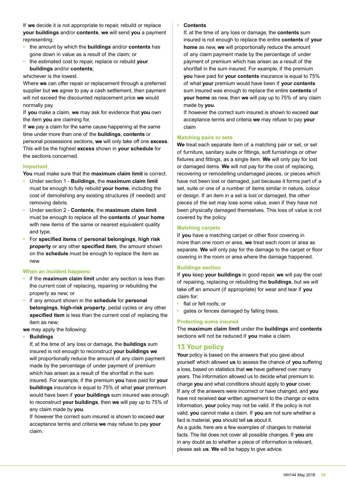If **we** decide it is not appropriate to repair, rebuild or replace **your buildings** and/or **contents**, **we** will send **you** a payment representing;

- the amount by which the **buildings** and/or **contents** has gone down in value as a result of the claim; or
- the estimated cost to repair, replace or rebuild **your buildings** and/or **contents**;

whichever is the lowest.

Where **we** can offer repair or replacement through a preferred supplier but **we** agree to pay a cash settlement, then payment will not exceed the discounted replacement price **we** would normally pay.

If **you** make a claim, **we** may ask for evidence that **you** own the item **you** are claiming for.

If **we** pay a claim for the same cause happening at the same time under more than one of the **buildings**, **contents** or personal possessions sections, **we** will only take off one **excess**. This will be the highest **excess** shown in **your schedule** for the sections concerned.

### **Important**

**You** must make sure that the **maximum claim limit** is correct.

- Under section 1 **Buildings**, the **maximum claim limit** must be enough to fully rebuild **your home**, including the cost of demolishing any existing structures (if needed) and removing debris.
- Under section 2 **Contents**, the **maximum claim limit** must be enough to replace all the **contents** of **your home** with new items of the same or nearest equivalent quality and type.
- For **specified items** of **personal belongings**, **high risk property** or any other **specified item**, the amount shown on the **schedule** must be enough to replace the item as new.

### **When an incident happens:**

- if the **maximum claim limit** under any section is less than the current cost of replacing, repairing or rebuilding the property as new; or
- if any amount shown in the **schedule** for **personal belongings**, **high-risk property**, pedal cycles or any other **specified item** is less than the current cost of replacing the item as new;

**we** may apply the following:

### • **Buildings**

If, at the time of any loss or damage, the **buildings** sum insured is not enough to reconstruct **your buildings we** will proportionally reduce the amount of any claim payment made by the percentage of under payment of premium which has arisen as a result of the shortfall in the sum insured. For example, if the premium **you** have paid for **your buildings** insurance is equal to 75% of what **your** premium would have been if **your buildings** sum insured was enough to reconstruct **your buildings**, then **we** will pay up to 75% of any claim made by **you**.

If however the correct sum insured is shown to exceed **our** acceptance terms and criteria **we** may refuse to pay **your** claim.

#### • **Contents**

If, at the time of any loss or damage, the **contents** sum insured is not enough to replace the entire **contents** of **your home** as new, **we** will proportionally reduce the amount of any claim payment made by the percentage of under payment of premium which has arisen as a result of the shortfall in the sum insured. For example, if the premium **you** have paid for **your contents** insurance is equal to 75% of what **your** premium would have been if **your contents** sum insured was enough to replace the entire **contents** of **your home** as new, then **we** will pay up to 75% of any claim made by **you**.

If however the correct sum insured is shown to exceed **our** acceptance terms and criteria **we** may refuse to pay **your** claim

### **Matching pairs or sets**

**We** treat each separate item of a matching pair or set, or set of furniture, sanitary suite or fittings, soft furnishings or other fixtures and fittings, as a single item. **We** will only pay for lost or damaged items. **We** will not pay for the cost of replacing, recovering or remodelling undamaged pieces, or pieces which have not been lost or damaged, just because it forms part of a set, suite or one of a number of items similar in nature, colour or design. If an item in a set is lost or damaged, the other pieces of the set may lose some value, even if they have not been physically damaged themselves. This loss of value is not covered by the policy.

### **Matching carpets**

If **you** have a matching carpet or other floor covering in more than one room or area, **we** treat each room or area as separate. **We** will only pay for the damage to the carpet or floor covering in the room or area where the damage happened.

### **Buildings section**

If **you** keep **your buildings** in good repair, **we** will pay the cost of repairing, replacing or rebuilding the **buildings**, but we will take off an amount (if appropriate) for wear and tear if **you** claim for:

- flat or felt roofs; or
- gates or fences damaged by falling trees.

### **Protecting sums insured**

The **maximum claim limit** under the **buildings** and **contents** sections will not be reduced if **you** make a claim.

## **13 Your policy**

Your policy is based on the answers that you gave about yourself which allowed **us** to assess the chance of **you** suffering a loss, based on statistics that **we** have gathered over many years. The information allowed us to decide what premium to charge **you** and what conditions should apply to **your** cover. If any of the answers were incorrect or have changed, and **you** have not received **our** written agreement to the change or extra information, **your** policy may not be valid. If the policy is not valid, **you** cannot make a claim. If **you** are not sure whether a fact is material, **you** should tell **us** about it.

As a guide, here are a few examples of changes to material facts. The list does not cover all possible changes. If **you** are in any doubt as to whether a piece of information is relevant, please ask **us**. **We** will be happy to give advice.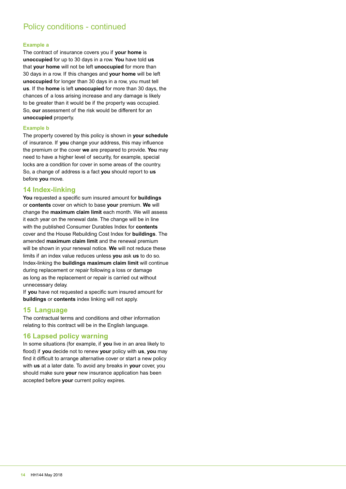## Policy conditions - continued

#### **Example a**

The contract of insurance covers you if **your home** is **unoccupied** for up to 30 days in a row. **You** have told **us** that **your home** will not be left **unoccupied** for more than 30 days in a row. If this changes and **your home** will be left **unoccupied** for longer than 30 days in a row, you must tell **us**. If the **home** is left **unoccupied** for more than 30 days, the chances of a loss arising increase and any damage is likely to be greater than it would be if the property was occupied. So, **our** assessment of the risk would be different for an **unoccupied** property.

#### **Example b**

The property covered by this policy is shown in **your schedule** of insurance. If **you** change your address, this may influence the premium or the cover **we** are prepared to provide. **You** may need to have a higher level of security, for example, special locks are a condition for cover in some areas of the country. So, a change of address is a fact **you** should report to **us**  before **you** move.

## **14 Index-linking**

**You** requested a specific sum insured amount for **buildings** or **contents** cover on which to base **your** premium. **We** will change the **maximum claim limit** each month. We will assess it each year on the renewal date. The change will be in line with the published Consumer Durables Index for **contents** cover and the House Rebuilding Cost Index for **buildings**. The amended **maximum claim limit** and the renewal premium will be shown in your renewal notice. **We** will not reduce these limits if an index value reduces unless **you** ask **us** to do so. Index-linking the **buildings maximum claim limit** will continue during replacement or repair following a loss or damage as long as the replacement or repair is carried out without unnecessary delay.

If **you** have not requested a specific sum insured amount for **buildings** or **contents** index linking will not apply.

## **15 Language**

The contractual terms and conditions and other information relating to this contract will be in the English language.

## **16 Lapsed policy warning**

In some situations (for example, if **you** live in an area likely to flood) if **you** decide not to renew **your** policy with **us**, **you** may find it difficult to arrange alternative cover or start a new policy with **us** at a later date. To avoid any breaks in **your** cover, you should make sure **your** new insurance application has been accepted before **your** current policy expires.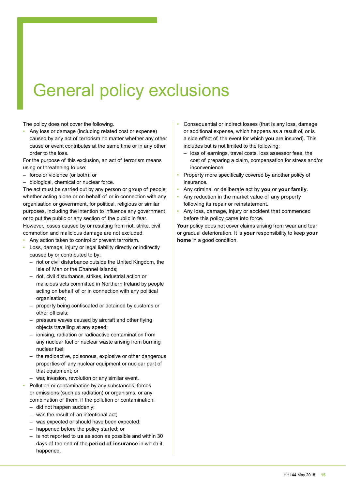## General policy exclusions

The policy does not cover the following.

• Any loss or damage (including related cost or expense) caused by any act of terrorism no matter whether any other cause or event contributes at the same time or in any other order to the loss.

For the purpose of this exclusion, an act of terrorism means using or threatening to use:

- force or violence (or both); or
- biological, chemical or nuclear force.

The act must be carried out by any person or group of people, whether acting alone or on behalf of or in connection with any organisation or government, for political, religious or similar purposes, including the intention to influence any government or to put the public or any section of the public in fear. However, losses caused by or resulting from riot, strike, civil commotion and malicious damage are not excluded.

- Any action taken to control or prevent terrorism.
- Loss, damage, injury or legal liability directly or indirectly caused by or contributed to by:
	- riot or civil disturbance outside the United Kingdom, the Isle of Man or the Channel Islands;
	- riot, civil disturbance, strikes, industrial action or malicious acts committed in Northern Ireland by people acting on behalf of or in connection with any political organisation:
	- property being confiscated or detained by customs or other officials;
	- pressure waves caused by aircraft and other flying objects travelling at any speed;
	- ionising, radiation or radioactive contamination from any nuclear fuel or nuclear waste arising from burning nuclear fuel;
	- the radioactive, poisonous, explosive or other dangerous properties of any nuclear equipment or nuclear part of that equipment; or
	- war, invasion, revolution or any similar event.
- Pollution or contamination by any substances, forces or emissions (such as radiation) or organisms, or any combination of them, if the pollution or contamination:
	- did not happen suddenly;
	- was the result of an intentional act;
	- was expected or should have been expected;
	- happened before the policy started; or
	- is not reported to **us** as soon as possible and within 30 days of the end of the **period of insurance** in which it happened.
- Consequential or indirect losses (that is any loss, damage or additional expense, which happens as a result of, or is a side effect of, the event for which **you** are insured). This includes but is not limited to the following:
	- loss of earnings, travel costs, loss assessor fees, the cost of preparing a claim, compensation for stress and/or inconvenience.
- Property more specifically covered by another policy of insurance.
- Any criminal or deliberate act by **you** or **your family**.
- Any reduction in the market value of any property following its repair or reinstatement.
- Any loss, damage, injury or accident that commenced before this policy came into force.

Your policy does not cover claims arising from wear and tear or gradual deterioration. It is **your** responsibility to keep **your home** in a good condition.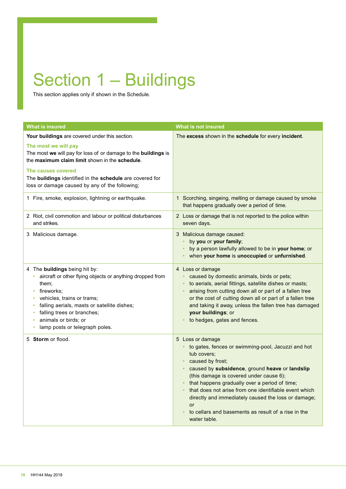# Section 1 – Buildings

This section applies only if shown in the Schedule.

| <b>What is insured</b>                                                                                                                                                                                                                                                                                                         | <b>What is not insured</b>                                                                                                                                                                                                                                                                                                                                                                                                                                  |
|--------------------------------------------------------------------------------------------------------------------------------------------------------------------------------------------------------------------------------------------------------------------------------------------------------------------------------|-------------------------------------------------------------------------------------------------------------------------------------------------------------------------------------------------------------------------------------------------------------------------------------------------------------------------------------------------------------------------------------------------------------------------------------------------------------|
| Your buildings are covered under this section.<br>The most we will pay<br>The most we will pay for loss of or damage to the buildings is<br>the maximum claim limit shown in the schedule.<br>The causes covered<br>The buildings identified in the schedule are covered for<br>loss or damage caused by any of the following; | The excess shown in the schedule for every incident.                                                                                                                                                                                                                                                                                                                                                                                                        |
| 1 Fire, smoke, explosion, lightning or earthquake.                                                                                                                                                                                                                                                                             | 1 Scorching, singeing, melting or damage caused by smoke<br>that happens gradually over a period of time.                                                                                                                                                                                                                                                                                                                                                   |
| 2 Riot, civil commotion and labour or political disturbances<br>and strikes.                                                                                                                                                                                                                                                   | 2 Loss or damage that is not reported to the police within<br>seven days.                                                                                                                                                                                                                                                                                                                                                                                   |
| 3 Malicious damage.                                                                                                                                                                                                                                                                                                            | 3 Malicious damage caused:<br>by you or your family;<br>by a person lawfully allowed to be in your home; or<br>when your home is unoccupied or unfurnished.                                                                                                                                                                                                                                                                                                 |
| 4 The buildings being hit by:<br>aircraft or other flying objects or anything dropped from<br>them;<br>fireworks;<br>٠<br>vehicles, trains or trams;<br>٠<br>falling aerials, masts or satellite dishes;<br>٠<br>falling trees or branches;<br>٠<br>animals or birds; or<br>٠<br>lamp posts or telegraph poles.<br>٠           | 4 Loss or damage<br>caused by domestic animals, birds or pets;<br>to aerials, aerial fittings, satellite dishes or masts;<br>arising from cutting down all or part of a fallen tree<br>or the cost of cutting down all or part of a fallen tree<br>and taking it away, unless the fallen tree has damaged<br>your buildings; or<br>to hedges, gates and fences.                                                                                             |
| 5 Storm or flood.                                                                                                                                                                                                                                                                                                              | 5 Loss or damage<br>to gates, fences or swimming-pool, Jacuzzi and hot<br>tub covers;<br>caused by frost;<br>caused by subsidence, ground heave or landslip<br>(this damage is covered under cause 6);<br>that happens gradually over a period of time;<br>that does not arise from one identifiable event which<br>directly and immediately caused the loss or damage;<br><b>or</b><br>to cellars and basements as result of a rise in the<br>water table. |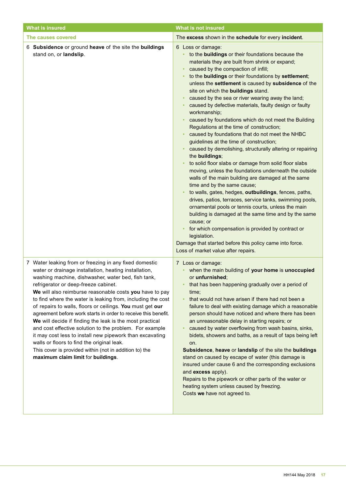| <b>What is insured</b>                                                                                                                                                                                                                                                                                                                                                                                                                                                                                                                                                                                                                                                                                                                                                                                  | <b>What is not insured</b>                                                                                                                                                                                                                                                                                                                                                                                                                                                                                                                                                                                                                                                                                                                                                                                                                                                                                                                                                                                                                                                                                                                                                                                                                                                                                                                                                    |
|---------------------------------------------------------------------------------------------------------------------------------------------------------------------------------------------------------------------------------------------------------------------------------------------------------------------------------------------------------------------------------------------------------------------------------------------------------------------------------------------------------------------------------------------------------------------------------------------------------------------------------------------------------------------------------------------------------------------------------------------------------------------------------------------------------|-------------------------------------------------------------------------------------------------------------------------------------------------------------------------------------------------------------------------------------------------------------------------------------------------------------------------------------------------------------------------------------------------------------------------------------------------------------------------------------------------------------------------------------------------------------------------------------------------------------------------------------------------------------------------------------------------------------------------------------------------------------------------------------------------------------------------------------------------------------------------------------------------------------------------------------------------------------------------------------------------------------------------------------------------------------------------------------------------------------------------------------------------------------------------------------------------------------------------------------------------------------------------------------------------------------------------------------------------------------------------------|
| The causes covered                                                                                                                                                                                                                                                                                                                                                                                                                                                                                                                                                                                                                                                                                                                                                                                      | The excess shown in the schedule for every incident.                                                                                                                                                                                                                                                                                                                                                                                                                                                                                                                                                                                                                                                                                                                                                                                                                                                                                                                                                                                                                                                                                                                                                                                                                                                                                                                          |
| 6 Subsidence or ground heave of the site the buildings<br>stand on, or landslip.                                                                                                                                                                                                                                                                                                                                                                                                                                                                                                                                                                                                                                                                                                                        | 6 Loss or damage:<br>• to the <b>buildings</b> or their foundations because the<br>materials they are built from shrink or expand;<br>caused by the compaction of infill;<br>to the buildings or their foundations by settlement;<br>unless the settlement is caused by subsidence of the<br>site on which the buildings stand.<br>caused by the sea or river wearing away the land;<br>caused by defective materials, faulty design or faulty<br>workmanship;<br>caused by foundations which do not meet the Building<br>Regulations at the time of construction;<br>caused by foundations that do not meet the NHBC<br>guidelines at the time of construction;<br>caused by demolishing, structurally altering or repairing<br>the buildings;<br>to solid floor slabs or damage from solid floor slabs<br>moving, unless the foundations underneath the outside<br>walls of the main building are damaged at the same<br>time and by the same cause;<br>to walls, gates, hedges, outbuildings, fences, paths,<br>drives, patios, terraces, service tanks, swimming pools,<br>ornamental pools or tennis courts, unless the main<br>building is damaged at the same time and by the same<br>cause; or<br>for which compensation is provided by contract or<br>legislation.<br>Damage that started before this policy came into force.<br>Loss of market value after repairs. |
| 7 Water leaking from or freezing in any fixed domestic<br>water or drainage installation, heating installation,<br>washing machine, dishwasher, water bed, fish tank,<br>refrigerator or deep-freeze cabinet.<br>We will also reimburse reasonable costs you have to pay<br>to find where the water is leaking from, including the cost<br>of repairs to walls, floors or ceilings. You must get our<br>agreement before work starts in order to receive this benefit.<br>We will decide if finding the leak is the most practical<br>and cost effective solution to the problem. For example<br>it may cost less to install new pipework than excavating<br>walls or floors to find the original leak.<br>This cover is provided within (not in addition to) the<br>maximum claim limit for buildings. | 7 Loss or damage:<br>• when the main building of your home is unoccupied<br>or unfurnished;<br>that has been happening gradually over a period of<br>time;<br>that would not have arisen if there had not been a<br>failure to deal with existing damage which a reasonable<br>person should have noticed and where there has been<br>an unreasonable delay in starting repairs; or<br>caused by water overflowing from wash basins, sinks,<br>bidets, showers and baths, as a result of taps being left<br>on.<br>Subsidence, heave or landslip of the site the buildings<br>stand on caused by escape of water (this damage is<br>insured under cause 6 and the corresponding exclusions<br>and excess apply).<br>Repairs to the pipework or other parts of the water or<br>heating system unless caused by freezing.<br>Costs we have not agreed to.                                                                                                                                                                                                                                                                                                                                                                                                                                                                                                                       |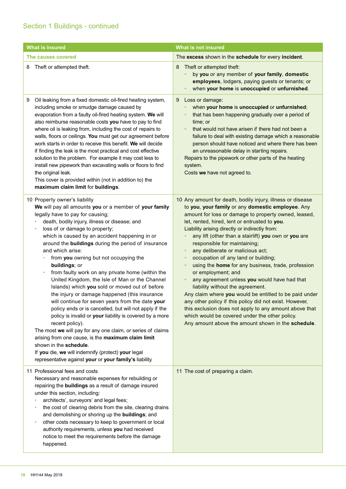| <b>What is insured</b>                                                                                                                                                                                                                                                                                                                                                                                                                                                                                                                                                                                                                                                                                                                                                                                                                                                                                                                                                                                                                                                                                     | <b>What is not insured</b>                                                                                                                                                                                                                                                                                                                                                                                                                                                                                                                                                                                                                                                                                                                                                                                                                                                                                                               |
|------------------------------------------------------------------------------------------------------------------------------------------------------------------------------------------------------------------------------------------------------------------------------------------------------------------------------------------------------------------------------------------------------------------------------------------------------------------------------------------------------------------------------------------------------------------------------------------------------------------------------------------------------------------------------------------------------------------------------------------------------------------------------------------------------------------------------------------------------------------------------------------------------------------------------------------------------------------------------------------------------------------------------------------------------------------------------------------------------------|------------------------------------------------------------------------------------------------------------------------------------------------------------------------------------------------------------------------------------------------------------------------------------------------------------------------------------------------------------------------------------------------------------------------------------------------------------------------------------------------------------------------------------------------------------------------------------------------------------------------------------------------------------------------------------------------------------------------------------------------------------------------------------------------------------------------------------------------------------------------------------------------------------------------------------------|
| The causes covered                                                                                                                                                                                                                                                                                                                                                                                                                                                                                                                                                                                                                                                                                                                                                                                                                                                                                                                                                                                                                                                                                         | The excess shown in the schedule for every incident.                                                                                                                                                                                                                                                                                                                                                                                                                                                                                                                                                                                                                                                                                                                                                                                                                                                                                     |
| Theft or attempted theft.<br>8                                                                                                                                                                                                                                                                                                                                                                                                                                                                                                                                                                                                                                                                                                                                                                                                                                                                                                                                                                                                                                                                             | Theft or attempted theft:<br>8<br>by you or any member of your family, domestic<br>employees, lodgers, paying guests or tenants; or<br>when your home is unoccupied or unfurnished.<br>٠                                                                                                                                                                                                                                                                                                                                                                                                                                                                                                                                                                                                                                                                                                                                                 |
| Oil leaking from a fixed domestic oil-fired heating system,<br>9<br>including smoke or smudge damage caused by<br>evaporation from a faulty oil-fired heating system. We will<br>also reimburse reasonable costs you have to pay to find<br>where oil is leaking from, including the cost of repairs to<br>walls, floors or ceilings. You must get our agreement before<br>work starts in order to receive this benefit. We will decide<br>if finding the leak is the most practical and cost effective<br>solution to the problem. For example it may cost less to<br>install new pipework than excavating walls or floors to find<br>the original leak.<br>This cover is provided within (not in addition to) the<br>maximum claim limit for buildings.                                                                                                                                                                                                                                                                                                                                                  | Loss or damage:<br>9<br>when your home is unoccupied or unfurnished;<br>that has been happening gradually over a period of<br>٠<br>time; or<br>that would not have arisen if there had not been a<br>$\bullet$<br>failure to deal with existing damage which a reasonable<br>person should have noticed and where there has been<br>an unreasonable delay in starting repairs.<br>Repairs to the pipework or other parts of the heating<br>system.<br>Costs we have not agreed to.                                                                                                                                                                                                                                                                                                                                                                                                                                                       |
| 10 Property owner's liability<br>We will pay all amounts you or a member of your family<br>legally have to pay for causing;<br>death, bodily injury, illness or disease; and<br>loss of or damage to property;<br>$\bullet$<br>which is caused by an accident happening in or<br>around the buildings during the period of insurance<br>and which arise:<br>from you owning but not occupying the<br>٠<br>buildings; or<br>from faulty work on any private home (within the<br>$\bullet$<br>United Kingdom, the Isle of Man or the Channel<br>Islands) which you sold or moved out of before<br>the injury or damage happened (this insurance<br>will continue for seven years from the date your<br>policy ends or is cancelled, but will not apply if the<br>policy is invalid or your liability is covered by a more<br>recent policy).<br>The most we will pay for any one claim, or series of claims<br>arising from one cause, is the maximum claim limit<br>shown in the schedule.<br>If you die, we will indemnify (protect) your legal<br>representative against your or your family's liability. | 10 Any amount for death, bodily injury, illness or disease<br>to you, your family or any domestic employee. Any<br>amount for loss or damage to property owned, leased,<br>let, rented, hired, lent or entrusted to you.<br>Liability arising directly or indirectly from:<br>any lift (other than a stairlift) you own or you are<br>٠<br>responsible for maintaining;<br>any deliberate or malicious act;<br>$\bullet$<br>occupation of any land or building;<br>٠<br>using the home for any business, trade, profession<br>$\bullet$<br>or employment; and<br>any agreement unless you would have had that<br>liability without the agreement.<br>Any claim where you would be entitled to be paid under<br>any other policy if this policy did not exist. However,<br>this exclusion does not apply to any amount above that<br>which would be covered under the other policy.<br>Any amount above the amount shown in the schedule. |
| 11 Professional fees and costs<br>Necessary and reasonable expenses for rebuilding or<br>repairing the buildings as a result of damage insured<br>under this section, including:<br>architects', surveyors' and legal fees;<br>٠<br>the cost of clearing debris from the site, clearing drains<br>٠<br>and demolishing or shoring up the buildings; and<br>other costs necessary to keep to government or local<br>٠<br>authority requirements, unless you had received<br>notice to meet the requirements before the damage<br>happened.                                                                                                                                                                                                                                                                                                                                                                                                                                                                                                                                                                  | 11 The cost of preparing a claim.                                                                                                                                                                                                                                                                                                                                                                                                                                                                                                                                                                                                                                                                                                                                                                                                                                                                                                        |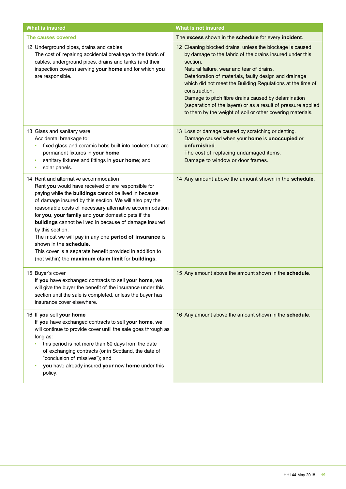| <b>What is insured</b>                                                                                                                                                                                                                                                                                                                                                                                                                                                                                                                                                                                                 | <b>What is not insured</b>                                                                                                                                                                                                                                                                                                                                                                                                                                                                                    |
|------------------------------------------------------------------------------------------------------------------------------------------------------------------------------------------------------------------------------------------------------------------------------------------------------------------------------------------------------------------------------------------------------------------------------------------------------------------------------------------------------------------------------------------------------------------------------------------------------------------------|---------------------------------------------------------------------------------------------------------------------------------------------------------------------------------------------------------------------------------------------------------------------------------------------------------------------------------------------------------------------------------------------------------------------------------------------------------------------------------------------------------------|
| The causes covered                                                                                                                                                                                                                                                                                                                                                                                                                                                                                                                                                                                                     | The excess shown in the schedule for every incident.                                                                                                                                                                                                                                                                                                                                                                                                                                                          |
| 12 Underground pipes, drains and cables<br>The cost of repairing accidental breakage to the fabric of<br>cables, underground pipes, drains and tanks (and their<br>inspection covers) serving your home and for which you<br>are responsible.                                                                                                                                                                                                                                                                                                                                                                          | 12 Cleaning blocked drains, unless the blockage is caused<br>by damage to the fabric of the drains insured under this<br>section.<br>Natural failure, wear and tear of drains.<br>Deterioration of materials, faulty design and drainage<br>which did not meet the Building Regulations at the time of<br>construction.<br>Damage to pitch fibre drains caused by delamination<br>(separation of the layers) or as a result of pressure applied<br>to them by the weight of soil or other covering materials. |
| 13 Glass and sanitary ware<br>Accidental breakage to:<br>fixed glass and ceramic hobs built into cookers that are<br>permanent fixtures in your home;<br>sanitary fixtures and fittings in your home; and<br>٠<br>solar panels.<br>٠                                                                                                                                                                                                                                                                                                                                                                                   | 13 Loss or damage caused by scratching or denting.<br>Damage caused when your home is unoccupied or<br>unfurnished.<br>The cost of replacing undamaged items.<br>Damage to window or door frames.                                                                                                                                                                                                                                                                                                             |
| 14 Rent and alternative accommodation<br>Rent you would have received or are responsible for<br>paying while the buildings cannot be lived in because<br>of damage insured by this section. We will also pay the<br>reasonable costs of necessary alternative accommodation<br>for you, your family and your domestic pets if the<br>buildings cannot be lived in because of damage insured<br>by this section.<br>The most we will pay in any one period of insurance is<br>shown in the schedule.<br>This cover is a separate benefit provided in addition to<br>(not within) the maximum claim limit for buildings. | 14 Any amount above the amount shown in the schedule.                                                                                                                                                                                                                                                                                                                                                                                                                                                         |
| 15 Buyer's cover<br>If you have exchanged contracts to sell your home, we<br>will give the buyer the benefit of the insurance under this<br>section until the sale is completed, unless the buyer has<br>insurance cover elsewhere.                                                                                                                                                                                                                                                                                                                                                                                    | 15 Any amount above the amount shown in the schedule.                                                                                                                                                                                                                                                                                                                                                                                                                                                         |
| 16 If you sell your home<br>If you have exchanged contracts to sell your home, we<br>will continue to provide cover until the sale goes through as<br>long as:<br>this period is not more than 60 days from the date<br>of exchanging contracts (or in Scotland, the date of<br>"conclusion of missives"); and<br>you have already insured your new home under this<br>policy.                                                                                                                                                                                                                                         | 16 Any amount above the amount shown in the schedule.                                                                                                                                                                                                                                                                                                                                                                                                                                                         |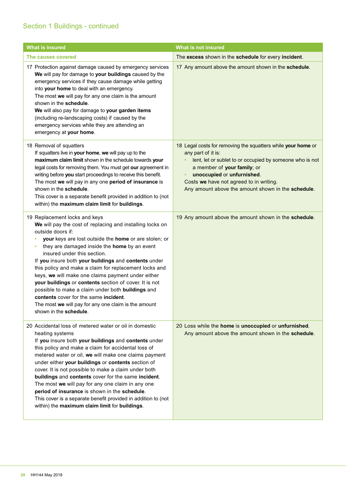## Section 1 Buildings - continued

| <b>What is insured</b>                                                                                                                                                                                                                                                                                                                                                                                                                                                                                                                                                                                                                                                                        | <b>What is not insured</b>                                                                                                                                                                                                                                                                                        |
|-----------------------------------------------------------------------------------------------------------------------------------------------------------------------------------------------------------------------------------------------------------------------------------------------------------------------------------------------------------------------------------------------------------------------------------------------------------------------------------------------------------------------------------------------------------------------------------------------------------------------------------------------------------------------------------------------|-------------------------------------------------------------------------------------------------------------------------------------------------------------------------------------------------------------------------------------------------------------------------------------------------------------------|
| The causes covered                                                                                                                                                                                                                                                                                                                                                                                                                                                                                                                                                                                                                                                                            | The excess shown in the schedule for every incident.                                                                                                                                                                                                                                                              |
| 17 Protection against damage caused by emergency services<br>We will pay for damage to your buildings caused by the<br>emergency services if they cause damage while getting<br>into your home to deal with an emergency.<br>The most we will pay for any one claim is the amount<br>shown in the schedule.<br>We will also pay for damage to your garden items<br>(including re-landscaping costs) if caused by the<br>emergency services while they are attending an<br>emergency at your home.                                                                                                                                                                                             | 17 Any amount above the amount shown in the schedule.                                                                                                                                                                                                                                                             |
| 18 Removal of squatters<br>If squatters live in your home, we will pay up to the<br>maximum claim limit shown in the schedule towards your<br>legal costs for removing them. You must get our agreement in<br>writing before you start proceedings to receive this benefit.<br>The most we will pay in any one period of insurance is<br>shown in the schedule.<br>This cover is a separate benefit provided in addition to (not<br>within) the maximum claim limit for buildings.                                                                                                                                                                                                            | 18 Legal costs for removing the squatters while your home or<br>any part of it is:<br>lent, let or sublet to or occupied by someone who is not<br>a member of your family; or<br>unoccupied or unfurnished.<br>٠<br>Costs we have not agreed to in writing.<br>Any amount above the amount shown in the schedule. |
| 19 Replacement locks and keys<br>We will pay the cost of replacing and installing locks on<br>outside doors if:<br>your keys are lost outside the home or are stolen; or<br>they are damaged inside the home by an event<br>$\bullet$<br>insured under this section.<br>If you insure both your buildings and contents under<br>this policy and make a claim for replacement locks and<br>keys, we will make one claims payment under either<br>your buildings or contents section of cover. It is not<br>possible to make a claim under both buildings and<br>contents cover for the same incident.<br>The most <b>we</b> will pay for any one claim is the amount<br>shown in the schedule. | 19 Any amount above the amount shown in the schedule.                                                                                                                                                                                                                                                             |
| 20 Accidental loss of metered water or oil in domestic<br>heating systems<br>If you insure both your buildings and contents under<br>this policy and make a claim for accidental loss of<br>metered water or oil, we will make one claims payment<br>under either your buildings or contents section of<br>cover. It is not possible to make a claim under both<br>buildings and contents cover for the same incident.<br>The most we will pay for any one claim in any one<br>period of insurance is shown in the schedule.<br>This cover is a separate benefit provided in addition to (not<br>within) the maximum claim limit for buildings.                                               | 20 Loss while the home is unoccupied or unfurnished.<br>Any amount above the amount shown in the schedule.                                                                                                                                                                                                        |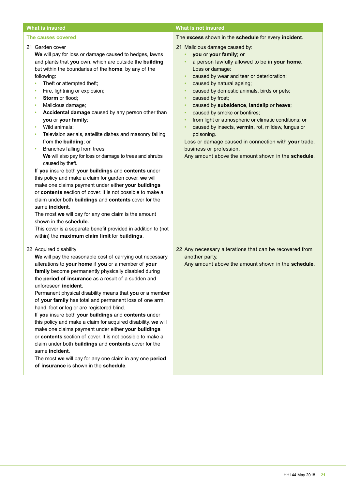| <b>What is insured</b>                                                                                                                                                                                                                                                                                                                                                                                                                                                                                                                                                                                                                                                                                                                                                                                                                                                                                                                                                                                                                                                                                                                                                                                   | <b>What is not insured</b>                                                                                                                                                                                                                                                                                                                                                                                                                                                                                                                                                                                                                                                                       |
|----------------------------------------------------------------------------------------------------------------------------------------------------------------------------------------------------------------------------------------------------------------------------------------------------------------------------------------------------------------------------------------------------------------------------------------------------------------------------------------------------------------------------------------------------------------------------------------------------------------------------------------------------------------------------------------------------------------------------------------------------------------------------------------------------------------------------------------------------------------------------------------------------------------------------------------------------------------------------------------------------------------------------------------------------------------------------------------------------------------------------------------------------------------------------------------------------------|--------------------------------------------------------------------------------------------------------------------------------------------------------------------------------------------------------------------------------------------------------------------------------------------------------------------------------------------------------------------------------------------------------------------------------------------------------------------------------------------------------------------------------------------------------------------------------------------------------------------------------------------------------------------------------------------------|
| The causes covered                                                                                                                                                                                                                                                                                                                                                                                                                                                                                                                                                                                                                                                                                                                                                                                                                                                                                                                                                                                                                                                                                                                                                                                       | The excess shown in the schedule for every incident.                                                                                                                                                                                                                                                                                                                                                                                                                                                                                                                                                                                                                                             |
| 21 Garden cover<br>We will pay for loss or damage caused to hedges, lawns<br>and plants that you own, which are outside the building<br>but within the boundaries of the home, by any of the<br>following:<br>Theft or attempted theft;<br>$\bullet$<br>Fire, lightning or explosion;<br>٠<br>Storm or flood;<br>٠<br>Malicious damage;<br>٠<br>Accidental damage caused by any person other than<br>٠<br>you or your family;<br>Wild animals;<br>٠<br>Television aerials, satellite dishes and masonry falling<br>٠<br>from the <b>building</b> ; or<br>Branches falling from trees.<br>$\bullet$<br>We will also pay for loss or damage to trees and shrubs<br>caused by theft.<br>If you insure both your buildings and contents under<br>this policy and make a claim for garden cover, we will<br>make one claims payment under either your buildings<br>or contents section of cover. It is not possible to make a<br>claim under both buildings and contents cover for the<br>same incident.<br>The most we will pay for any one claim is the amount<br>shown in the schedule.<br>This cover is a separate benefit provided in addition to (not<br>within) the maximum claim limit for buildings. | 21 Malicious damage caused by:<br>you or your family; or<br>a person lawfully allowed to be in your home.<br>Loss or damage:<br>caused by wear and tear or deterioration;<br>٠<br>caused by natural ageing;<br>٠<br>caused by domestic animals, birds or pets;<br>٠<br>caused by frost;<br>$\bullet$<br>caused by subsidence, landslip or heave;<br>$\bullet$<br>caused by smoke or bonfires;<br>$\bullet$<br>from light or atmospheric or climatic conditions; or<br>٠<br>caused by insects, vermin, rot, mildew, fungus or<br>$\bullet$<br>poisoning.<br>Loss or damage caused in connection with your trade,<br>business or profession.<br>Any amount above the amount shown in the schedule. |
| 22 Acquired disability<br>We will pay the reasonable cost of carrying out necessary<br>alterations to your home if you or a member of your<br>family become permanently physically disabled during<br>the period of insurance as a result of a sudden and<br>unforeseen incident.<br>Permanent physical disability means that you or a member<br>of your family has total and permanent loss of one arm,<br>hand, foot or leg or are registered blind.<br>If you insure both your buildings and contents under<br>this policy and make a claim for acquired disability, we will<br>make one claims payment under either your buildings<br>or contents section of cover. It is not possible to make a<br>claim under both buildings and contents cover for the<br>same incident.<br>The most we will pay for any one claim in any one period<br>of insurance is shown in the schedule.                                                                                                                                                                                                                                                                                                                    | 22 Any necessary alterations that can be recovered from<br>another party.<br>Any amount above the amount shown in the schedule.                                                                                                                                                                                                                                                                                                                                                                                                                                                                                                                                                                  |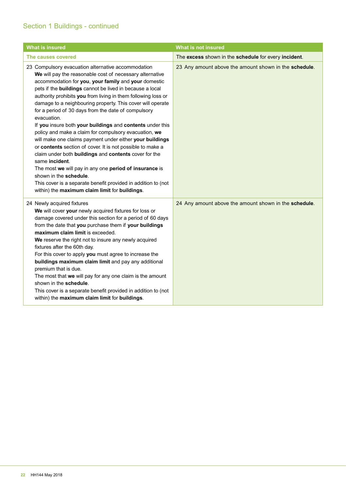## Section 1 Buildings - continued

| <b>What is insured</b>                                                                                                                                                                                                                                                                                                                                                                                                                                                                                                                                                                                                                                                                                                                                                                                                                                                                                                                                                    | <b>What is not insured</b>                            |
|---------------------------------------------------------------------------------------------------------------------------------------------------------------------------------------------------------------------------------------------------------------------------------------------------------------------------------------------------------------------------------------------------------------------------------------------------------------------------------------------------------------------------------------------------------------------------------------------------------------------------------------------------------------------------------------------------------------------------------------------------------------------------------------------------------------------------------------------------------------------------------------------------------------------------------------------------------------------------|-------------------------------------------------------|
| The causes covered                                                                                                                                                                                                                                                                                                                                                                                                                                                                                                                                                                                                                                                                                                                                                                                                                                                                                                                                                        | The excess shown in the schedule for every incident.  |
| 23 Compulsory evacuation alternative accommodation<br>We will pay the reasonable cost of necessary alternative<br>accommodation for you, your family and your domestic<br>pets if the buildings cannot be lived in because a local<br>authority prohibits you from living in them following loss or<br>damage to a neighbouring property. This cover will operate<br>for a period of 30 days from the date of compulsory<br>evacuation.<br>If you insure both your buildings and contents under this<br>policy and make a claim for compulsory evacuation, we<br>will make one claims payment under either your buildings<br>or contents section of cover. It is not possible to make a<br>claim under both buildings and contents cover for the<br>same incident.<br>The most we will pay in any one period of insurance is<br>shown in the schedule.<br>This cover is a separate benefit provided in addition to (not<br>within) the maximum claim limit for buildings. | 23 Any amount above the amount shown in the schedule. |
| 24 Newly acquired fixtures<br>We will cover your newly acquired fixtures for loss or<br>damage covered under this section for a period of 60 days<br>from the date that you purchase them if your buildings<br>maximum claim limit is exceeded.<br>We reserve the right not to insure any newly acquired<br>fixtures after the 60th day.<br>For this cover to apply you must agree to increase the<br>buildings maximum claim limit and pay any additional<br>premium that is due.<br>The most that we will pay for any one claim is the amount<br>shown in the schedule.<br>This cover is a separate benefit provided in addition to (not<br>within) the maximum claim limit for buildings.                                                                                                                                                                                                                                                                              | 24 Any amount above the amount shown in the schedule. |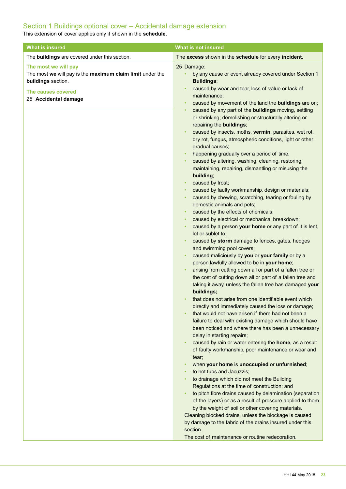## Section 1 Buildings optional cover – Accidental damage extension

This extension of cover applies only if shown in the **schedule**.

| <b>What is insured</b>                                                                                                                                | <b>What is not insured</b>                                                                                                                                                                                                                                                                                                                                                                                                                                                                                                                                                                                                                                                                                                                                                                                                                                                                                                                                                                                                                                                                                                                                                                      |
|-------------------------------------------------------------------------------------------------------------------------------------------------------|-------------------------------------------------------------------------------------------------------------------------------------------------------------------------------------------------------------------------------------------------------------------------------------------------------------------------------------------------------------------------------------------------------------------------------------------------------------------------------------------------------------------------------------------------------------------------------------------------------------------------------------------------------------------------------------------------------------------------------------------------------------------------------------------------------------------------------------------------------------------------------------------------------------------------------------------------------------------------------------------------------------------------------------------------------------------------------------------------------------------------------------------------------------------------------------------------|
| The buildings are covered under this section.                                                                                                         | The excess shown in the schedule for every incident.                                                                                                                                                                                                                                                                                                                                                                                                                                                                                                                                                                                                                                                                                                                                                                                                                                                                                                                                                                                                                                                                                                                                            |
| The most we will pay<br>The most we will pay is the maximum claim limit under the<br>buildings section.<br>The causes covered<br>25 Accidental damage | 25 Damage:<br>by any cause or event already covered under Section 1<br><b>Buildings;</b><br>caused by wear and tear, loss of value or lack of<br>maintenance;<br>caused by movement of the land the buildings are on;<br>$\bullet$<br>caused by any part of the buildings moving, settling                                                                                                                                                                                                                                                                                                                                                                                                                                                                                                                                                                                                                                                                                                                                                                                                                                                                                                      |
|                                                                                                                                                       | or shrinking; demolishing or structurally altering or<br>repairing the buildings;<br>caused by insects, moths, vermin, parasites, wet rot,<br>dry rot, fungus, atmospheric conditions, light or other<br>gradual causes;<br>happening gradually over a period of time.<br>caused by altering, washing, cleaning, restoring,<br>maintaining, repairing, dismantling or misusing the<br>building;<br>caused by frost;<br>$\bullet$<br>caused by faulty workmanship, design or materials;<br>caused by chewing, scratching, tearing or fouling by<br>domestic animals and pets;<br>caused by the effects of chemicals;<br>caused by electrical or mechanical breakdown;<br>caused by a person your home or any part of it is lent,<br>let or sublet to;<br>caused by storm damage to fences, gates, hedges<br>and swimming pool covers;<br>caused maliciously by you or your family or by a<br>person lawfully allowed to be in your home;                                                                                                                                                                                                                                                         |
|                                                                                                                                                       | arising from cutting down all or part of a fallen tree or<br>the cost of cutting down all or part of a fallen tree and<br>taking it away, unless the fallen tree has damaged your<br>buildings;<br>that does not arise from one identifiable event which<br>directly and immediately caused the loss or damage;<br>that would not have arisen if there had not been a<br>failure to deal with existing damage which should have<br>been noticed and where there has been a unnecessary<br>delay in starting repairs;<br>caused by rain or water entering the home, as a result<br>of faulty workmanship, poor maintenance or wear and<br>tear;<br>when your home is unoccupied or unfurnished;<br>to hot tubs and Jacuzzis;<br>to drainage which did not meet the Building<br>Regulations at the time of construction; and<br>to pitch fibre drains caused by delamination (separation<br>of the layers) or as a result of pressure applied to them<br>by the weight of soil or other covering materials.<br>Cleaning blocked drains, unless the blockage is caused<br>by damage to the fabric of the drains insured under this<br>section.<br>The cost of maintenance or routine redecoration. |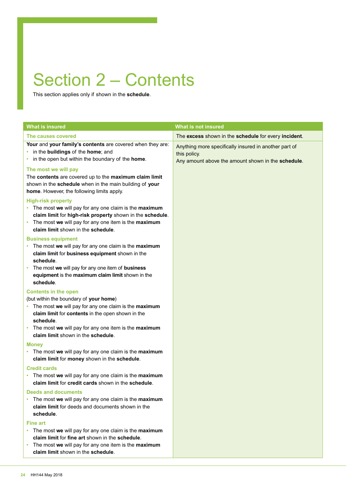## Section 2 – Contents

This section applies only if shown in the **schedule**.

| <b>What is insured</b>                                                                                                                                                                                                                                                                             | <b>What is not insured</b>                                                                                                  |
|----------------------------------------------------------------------------------------------------------------------------------------------------------------------------------------------------------------------------------------------------------------------------------------------------|-----------------------------------------------------------------------------------------------------------------------------|
| The causes covered                                                                                                                                                                                                                                                                                 | The excess shown in the schedule for every incident.                                                                        |
| Your and your family's contents are covered when they are:<br>• in the buildings of the home; and<br>• in the open but within the boundary of the home.                                                                                                                                            | Anything more specifically insured in another part of<br>this policy.<br>Any amount above the amount shown in the schedule. |
| The most we will pay<br>The contents are covered up to the maximum claim limit<br>shown in the schedule when in the main building of your<br>home. However, the following limits apply.                                                                                                            |                                                                                                                             |
| <b>High-risk property</b><br>• The most we will pay for any one claim is the maximum<br>claim limit for high-risk property shown in the schedule.<br>• The most we will pay for any one item is the maximum<br>claim limit shown in the schedule.                                                  |                                                                                                                             |
| <b>Business equipment</b><br>• The most we will pay for any one claim is the maximum<br>claim limit for business equipment shown in the<br>schedule.                                                                                                                                               |                                                                                                                             |
| • The most we will pay for any one item of business<br>equipment is the maximum claim limit shown in the<br>schedule.                                                                                                                                                                              |                                                                                                                             |
| <b>Contents in the open</b><br>(but within the boundary of your home)<br>• The most we will pay for any one claim is the maximum<br>claim limit for contents in the open shown in the<br>schedule.<br>• The most we will pay for any one item is the maximum<br>claim limit shown in the schedule. |                                                                                                                             |
| <b>Money</b><br>• The most we will pay for any one claim is the maximum<br>claim limit for money shown in the schedule.                                                                                                                                                                            |                                                                                                                             |
| <b>Credit cards</b><br>• The most we will pay for any one claim is the maximum<br>claim limit for credit cards shown in the schedule.                                                                                                                                                              |                                                                                                                             |
| <b>Deeds and documents</b><br>• The most we will pay for any one claim is the maximum<br>claim limit for deeds and documents shown in the<br>schedule.                                                                                                                                             |                                                                                                                             |
| <b>Fine art</b><br>• The most we will pay for any one claim is the maximum<br>claim limit for fine art shown in the schedule.<br>• The most we will pay for any one item is the maximum<br>claim limit shown in the schedule.                                                                      |                                                                                                                             |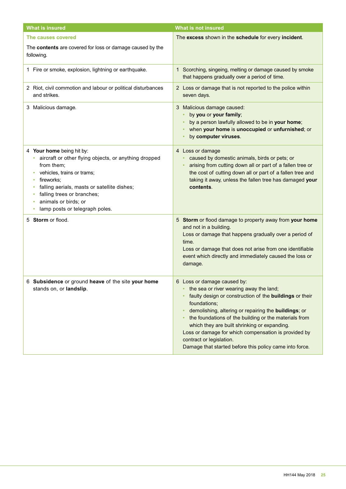| <b>What is insured</b>                                                                                                                                                                                                                                                                                  | <b>What is not insured</b>                                                                                                                                                                                                                                                                                                                                                                                                                                                |
|---------------------------------------------------------------------------------------------------------------------------------------------------------------------------------------------------------------------------------------------------------------------------------------------------------|---------------------------------------------------------------------------------------------------------------------------------------------------------------------------------------------------------------------------------------------------------------------------------------------------------------------------------------------------------------------------------------------------------------------------------------------------------------------------|
| The causes covered                                                                                                                                                                                                                                                                                      | The excess shown in the schedule for every incident.                                                                                                                                                                                                                                                                                                                                                                                                                      |
| The contents are covered for loss or damage caused by the<br>following.                                                                                                                                                                                                                                 |                                                                                                                                                                                                                                                                                                                                                                                                                                                                           |
| 1 Fire or smoke, explosion, lightning or earthquake.                                                                                                                                                                                                                                                    | 1 Scorching, singeing, melting or damage caused by smoke<br>that happens gradually over a period of time.                                                                                                                                                                                                                                                                                                                                                                 |
| 2 Riot, civil commotion and labour or political disturbances<br>and strikes.                                                                                                                                                                                                                            | 2 Loss or damage that is not reported to the police within<br>seven days.                                                                                                                                                                                                                                                                                                                                                                                                 |
| 3 Malicious damage.                                                                                                                                                                                                                                                                                     | 3 Malicious damage caused:<br>by you or your family;<br>by a person lawfully allowed to be in your home;<br>when your home is unoccupied or unfurnished; or<br>by computer viruses.                                                                                                                                                                                                                                                                                       |
| 4 Your home being hit by:<br>aircraft or other flying objects, or anything dropped<br>from them;<br>vehicles, trains or trams;<br>۰<br>fireworks:<br>۰<br>falling aerials, masts or satellite dishes;<br>falling trees or branches;<br>animals or birds; or<br>۰<br>lamp posts or telegraph poles.<br>۰ | 4 Loss or damage<br>caused by domestic animals, birds or pets; or<br>arising from cutting down all or part of a fallen tree or<br>the cost of cutting down all or part of a fallen tree and<br>taking it away, unless the fallen tree has damaged your<br>contents.                                                                                                                                                                                                       |
| 5 Storm or flood.                                                                                                                                                                                                                                                                                       | 5 Storm or flood damage to property away from your home<br>and not in a building.<br>Loss or damage that happens gradually over a period of<br>time.<br>Loss or damage that does not arise from one identifiable<br>event which directly and immediately caused the loss or<br>damage.                                                                                                                                                                                    |
| 6 Subsidence or ground heave of the site your home<br>stands on, or landslip.                                                                                                                                                                                                                           | 6 Loss or damage caused by:<br>the sea or river wearing away the land;<br>faulty design or construction of the buildings or their<br>foundations;<br>demolishing, altering or repairing the <b>buildings</b> ; or<br>the foundations of the building or the materials from<br>which they are built shrinking or expanding.<br>Loss or damage for which compensation is provided by<br>contract or legislation.<br>Damage that started before this policy came into force. |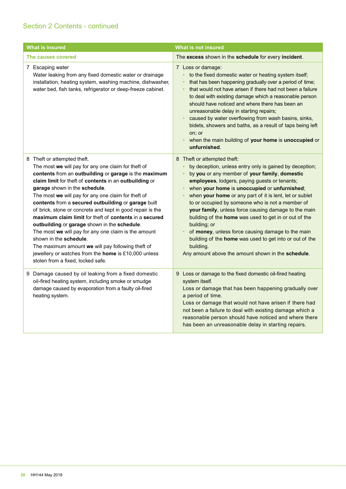| <b>What is insured</b>                                                                                                                                                                                                                                                                                                                                                                                                                                                                                                                                                                                                                                                                                                                                           | <b>What is not insured</b>                                                                                                                                                                                                                                                                                                                                                                                                                                                                                                                                                                                                                                                  |
|------------------------------------------------------------------------------------------------------------------------------------------------------------------------------------------------------------------------------------------------------------------------------------------------------------------------------------------------------------------------------------------------------------------------------------------------------------------------------------------------------------------------------------------------------------------------------------------------------------------------------------------------------------------------------------------------------------------------------------------------------------------|-----------------------------------------------------------------------------------------------------------------------------------------------------------------------------------------------------------------------------------------------------------------------------------------------------------------------------------------------------------------------------------------------------------------------------------------------------------------------------------------------------------------------------------------------------------------------------------------------------------------------------------------------------------------------------|
| The causes covered                                                                                                                                                                                                                                                                                                                                                                                                                                                                                                                                                                                                                                                                                                                                               | The excess shown in the schedule for every incident.                                                                                                                                                                                                                                                                                                                                                                                                                                                                                                                                                                                                                        |
| 7 Escaping water<br>Water leaking from any fixed domestic water or drainage<br>installation, heating system, washing machine, dishwasher,<br>water bed, fish tanks, refrigerator or deep-freeze cabinet.                                                                                                                                                                                                                                                                                                                                                                                                                                                                                                                                                         | 7 Loss or damage:<br>to the fixed domestic water or heating system itself;<br>$\bullet$<br>that has been happening gradually over a period of time;<br>that would not have arisen if there had not been a failure<br>to deal with existing damage which a reasonable person<br>should have noticed and where there has been an<br>unreasonable delay in starting repairs;<br>caused by water overflowing from wash basins, sinks,<br>bidets, showers and baths, as a result of taps being left<br>on; or<br>when the main building of your home is unoccupied or<br>$\bullet$<br>unfurnished.                                                                               |
| 8 Theft or attempted theft.<br>The most we will pay for any one claim for theft of<br>contents from an outbuilding or garage is the maximum<br>claim limit for theft of contents in an outbuilding or<br>garage shown in the schedule.<br>The most we will pay for any one claim for theft of<br>contents from a secured outbuilding or garage built<br>of brick, stone or concrete and kept in good repair is the<br>maximum claim limit for theft of contents in a secured<br>outbuilding or garage shown in the schedule.<br>The most we will pay for any one claim is the amount<br>shown in the schedule.<br>The maximum amount we will pay following theft of<br>jewellery or watches from the home is £10,000 unless<br>stolen from a fixed, locked safe. | 8 Theft or attempted theft:<br>by deception, unless entry only is gained by deception;<br>by you or any member of your family, domestic<br>employees, lodgers, paying guests or tenants;<br>when your home is unoccupied or unfurnished;<br>when your home or any part of it is lent, let or sublet<br>to or occupied by someone who is not a member of<br>your family, unless force causing damage to the main<br>building of the home was used to get in or out of the<br>building; or<br>of money, unless force causing damage to the main<br>building of the home was used to get into or out of the<br>building.<br>Any amount above the amount shown in the schedule. |
| 9 Damage caused by oil leaking from a fixed domestic<br>oil-fired heating system, including smoke or smudge<br>damage caused by evaporation from a faulty oil-fired<br>heating system.                                                                                                                                                                                                                                                                                                                                                                                                                                                                                                                                                                           | 9 Loss or damage to the fixed domestic oil-fired heating<br>system itself.<br>Loss or damage that has been happening gradually over<br>a period of time.<br>Loss or damage that would not have arisen if there had<br>not been a failure to deal with existing damage which a<br>reasonable person should have noticed and where there<br>has been an unreasonable delay in starting repairs.                                                                                                                                                                                                                                                                               |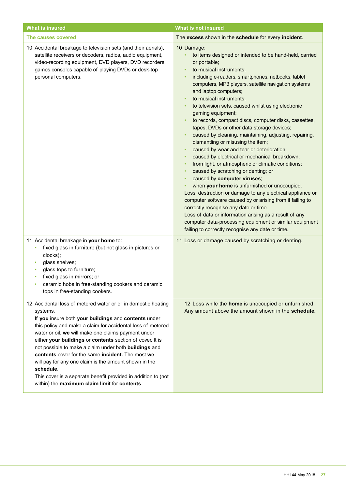| <b>What is insured</b>                                                                                                                                                                                                                                                                                                                                                                                                                                                                                                                                                                                                      | <b>What is not insured</b>                                                                                                                                                                                                                                                                                                                                                                                                                                                                                                                                                                                                                                                                                                                                                                                                                                                                                                                                                                                                                                                                                                                                                                                                                                                     |
|-----------------------------------------------------------------------------------------------------------------------------------------------------------------------------------------------------------------------------------------------------------------------------------------------------------------------------------------------------------------------------------------------------------------------------------------------------------------------------------------------------------------------------------------------------------------------------------------------------------------------------|--------------------------------------------------------------------------------------------------------------------------------------------------------------------------------------------------------------------------------------------------------------------------------------------------------------------------------------------------------------------------------------------------------------------------------------------------------------------------------------------------------------------------------------------------------------------------------------------------------------------------------------------------------------------------------------------------------------------------------------------------------------------------------------------------------------------------------------------------------------------------------------------------------------------------------------------------------------------------------------------------------------------------------------------------------------------------------------------------------------------------------------------------------------------------------------------------------------------------------------------------------------------------------|
| The causes covered                                                                                                                                                                                                                                                                                                                                                                                                                                                                                                                                                                                                          | The excess shown in the schedule for every incident.                                                                                                                                                                                                                                                                                                                                                                                                                                                                                                                                                                                                                                                                                                                                                                                                                                                                                                                                                                                                                                                                                                                                                                                                                           |
| 10 Accidental breakage to television sets (and their aerials),<br>satellite receivers or decoders, radios, audio equipment,<br>video-recording equipment, DVD players, DVD recorders,<br>games consoles capable of playing DVDs or desk-top<br>personal computers.                                                                                                                                                                                                                                                                                                                                                          | 10 Damage:<br>to items designed or intended to be hand-held, carried<br>or portable;<br>to musical instruments;<br>$\bullet$<br>including e-readers, smartphones, netbooks, tablet<br>$\bullet$<br>computers, MP3 players, satellite navigation systems<br>and laptop computers;<br>to musical instruments;<br>$\bullet$<br>to television sets, caused whilst using electronic<br>gaming equipment;<br>to records, compact discs, computer disks, cassettes,<br>$\bullet$<br>tapes, DVDs or other data storage devices;<br>caused by cleaning, maintaining, adjusting, repairing,<br>$\bullet$<br>dismantling or misusing the item;<br>caused by wear and tear or deterioration;<br>caused by electrical or mechanical breakdown;<br>٠<br>from light, or atmospheric or climatic conditions;<br>٠<br>caused by scratching or denting; or<br>٠<br>caused by computer viruses;<br>٠<br>when your home is unfurnished or unoccupied.<br>Loss, destruction or damage to any electrical appliance or<br>computer software caused by or arising from it failing to<br>correctly recognise any date or time.<br>Loss of data or information arising as a result of any<br>computer data-processing equipment or similar equipment<br>failing to correctly recognise any date or time. |
| 11 Accidental breakage in your home to:<br>fixed glass in furniture (but not glass in pictures or<br>clocks);<br>glass shelves;<br>glass tops to furniture;<br>fixed glass in mirrors; or<br>ceramic hobs in free-standing cookers and ceramic<br>tops in free-standing cookers.                                                                                                                                                                                                                                                                                                                                            | 11 Loss or damage caused by scratching or denting.                                                                                                                                                                                                                                                                                                                                                                                                                                                                                                                                                                                                                                                                                                                                                                                                                                                                                                                                                                                                                                                                                                                                                                                                                             |
| 12 Accidental loss of metered water or oil in domestic heating<br>systems.<br>If you insure both your buildings and contents under<br>this policy and make a claim for accidental loss of metered<br>water or oil, we will make one claims payment under<br>either your buildings or contents section of cover. It is<br>not possible to make a claim under both buildings and<br>contents cover for the same incident. The most we<br>will pay for any one claim is the amount shown in the<br>schedule.<br>This cover is a separate benefit provided in addition to (not<br>within) the maximum claim limit for contents. | 12 Loss while the home is unoccupied or unfurnished.<br>Any amount above the amount shown in the schedule.                                                                                                                                                                                                                                                                                                                                                                                                                                                                                                                                                                                                                                                                                                                                                                                                                                                                                                                                                                                                                                                                                                                                                                     |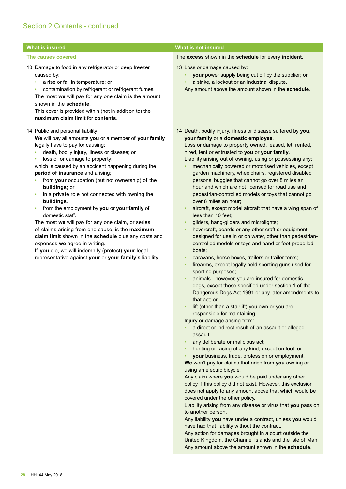| <b>What is insured</b>                                                                                                                                                                                                                                                                                                                                                                                                                                                                                                                                                                                                                                                                                                                                                                                                                                | <b>What is not insured</b>                                                                                                                                                                                                                                                                                                                                                                                                                                                                                                                                                                                                                                                                                                                                                                                                                                                                                                                                                                                                                                                                                                                                                                                                                                                                                                                                                                                                                                                                                                                                                                                                                                                                                                                                                                                                                                                                                                                                                                                                                                                                                                                                                                                                                                                 |
|-------------------------------------------------------------------------------------------------------------------------------------------------------------------------------------------------------------------------------------------------------------------------------------------------------------------------------------------------------------------------------------------------------------------------------------------------------------------------------------------------------------------------------------------------------------------------------------------------------------------------------------------------------------------------------------------------------------------------------------------------------------------------------------------------------------------------------------------------------|----------------------------------------------------------------------------------------------------------------------------------------------------------------------------------------------------------------------------------------------------------------------------------------------------------------------------------------------------------------------------------------------------------------------------------------------------------------------------------------------------------------------------------------------------------------------------------------------------------------------------------------------------------------------------------------------------------------------------------------------------------------------------------------------------------------------------------------------------------------------------------------------------------------------------------------------------------------------------------------------------------------------------------------------------------------------------------------------------------------------------------------------------------------------------------------------------------------------------------------------------------------------------------------------------------------------------------------------------------------------------------------------------------------------------------------------------------------------------------------------------------------------------------------------------------------------------------------------------------------------------------------------------------------------------------------------------------------------------------------------------------------------------------------------------------------------------------------------------------------------------------------------------------------------------------------------------------------------------------------------------------------------------------------------------------------------------------------------------------------------------------------------------------------------------------------------------------------------------------------------------------------------------|
| The causes covered                                                                                                                                                                                                                                                                                                                                                                                                                                                                                                                                                                                                                                                                                                                                                                                                                                    | The excess shown in the schedule for every incident.                                                                                                                                                                                                                                                                                                                                                                                                                                                                                                                                                                                                                                                                                                                                                                                                                                                                                                                                                                                                                                                                                                                                                                                                                                                                                                                                                                                                                                                                                                                                                                                                                                                                                                                                                                                                                                                                                                                                                                                                                                                                                                                                                                                                                       |
| 13 Damage to food in any refrigerator or deep freezer<br>caused by:<br>a rise or fall in temperature; or<br>٠<br>contamination by refrigerant or refrigerant fumes.<br>٠<br>The most we will pay for any one claim is the amount<br>shown in the schedule.<br>This cover is provided within (not in addition to) the<br>maximum claim limit for contents.                                                                                                                                                                                                                                                                                                                                                                                                                                                                                             | 13 Loss or damage caused by:<br>your power supply being cut off by the supplier; or<br>$\bullet$<br>a strike, a lockout or an industrial dispute.<br>$\bullet$<br>Any amount above the amount shown in the schedule.                                                                                                                                                                                                                                                                                                                                                                                                                                                                                                                                                                                                                                                                                                                                                                                                                                                                                                                                                                                                                                                                                                                                                                                                                                                                                                                                                                                                                                                                                                                                                                                                                                                                                                                                                                                                                                                                                                                                                                                                                                                       |
| 14 Public and personal liability<br>We will pay all amounts you or a member of your family<br>legally have to pay for causing:<br>death, bodily injury, illness or disease; or<br>٠<br>loss of or damage to property;<br>٠<br>which is caused by an accident happening during the<br>period of insurance and arising;<br>from your occupation (but not ownership) of the<br>buildings; or<br>in a private role not connected with owning the<br>buildings.<br>from the employment by you or your family of<br>٠<br>domestic staff.<br>The most we will pay for any one claim, or series<br>of claims arising from one cause, is the maximum<br>claim limit shown in the schedule plus any costs and<br>expenses we agree in writing.<br>If you die, we will indemnify (protect) your legal<br>representative against your or your family's liability. | 14 Death, bodily injury, illness or disease suffered by you,<br>your family or a domestic employee.<br>Loss or damage to property owned, leased, let, rented,<br>hired, lent or entrusted to you or your family.<br>Liability arising out of owning, using or possessing any:<br>mechanically powered or motorised vehicles, except<br>garden machinery, wheelchairs, registered disabled<br>persons' buggies that cannot go over 8 miles an<br>hour and which are not licensed for road use and<br>pedestrian-controlled models or toys that cannot go<br>over 8 miles an hour;<br>aircraft, except model aircraft that have a wing span of<br>less than 10 feet;<br>gliders, hang-gliders and microlights;<br>hovercraft, boards or any other craft or equipment<br>$\bullet$<br>designed for use in or on water, other than pedestrian-<br>controlled models or toys and hand or foot-propelled<br>boats;<br>caravans, horse boxes, trailers or trailer tents;<br>firearms, except legally held sporting guns used for<br>$\bullet$<br>sporting purposes;<br>animals - however, you are insured for domestic<br>dogs, except those specified under section 1 of the<br>Dangerous Dogs Act 1991 or any later amendments to<br>that act; or<br>lift (other than a stairlift) you own or you are<br>responsible for maintaining.<br>Injury or damage arising from:<br>a direct or indirect result of an assault or alleged<br>assault;<br>any deliberate or malicious act;<br>hunting or racing of any kind, except on foot; or<br>your business, trade, profession or employment.<br>We won't pay for claims that arise from you owning or<br>using an electric bicycle.<br>Any claim where you would be paid under any other<br>policy if this policy did not exist. However, this exclusion<br>does not apply to any amount above that which would be<br>covered under the other policy.<br>Liability arising from any disease or virus that you pass on<br>to another person.<br>Any liability you have under a contract, unless you would<br>have had that liability without the contract.<br>Any action for damages brought in a court outside the<br>United Kingdom, the Channel Islands and the Isle of Man.<br>Any amount above the amount shown in the schedule. |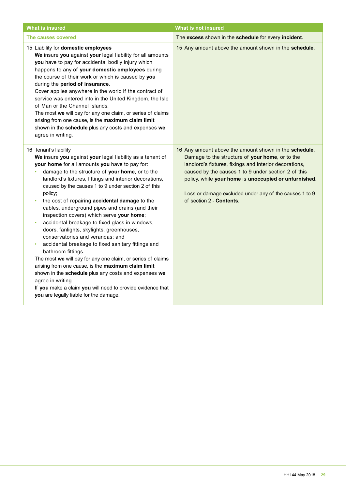| <b>What is insured</b>                                                                                                                                                                                                                                                                                                                                                                                                                                                                                                                                                                                                                                                                                                                                                                                                                                                                                                                                                                                    | <b>What is not insured</b>                                                                                                                                                                                                                                                                                                                                               |
|-----------------------------------------------------------------------------------------------------------------------------------------------------------------------------------------------------------------------------------------------------------------------------------------------------------------------------------------------------------------------------------------------------------------------------------------------------------------------------------------------------------------------------------------------------------------------------------------------------------------------------------------------------------------------------------------------------------------------------------------------------------------------------------------------------------------------------------------------------------------------------------------------------------------------------------------------------------------------------------------------------------|--------------------------------------------------------------------------------------------------------------------------------------------------------------------------------------------------------------------------------------------------------------------------------------------------------------------------------------------------------------------------|
| The causes covered                                                                                                                                                                                                                                                                                                                                                                                                                                                                                                                                                                                                                                                                                                                                                                                                                                                                                                                                                                                        | The excess shown in the schedule for every incident.                                                                                                                                                                                                                                                                                                                     |
| 15 Liability for domestic employees<br>We insure you against your legal liability for all amounts<br>you have to pay for accidental bodily injury which<br>happens to any of your domestic employees during<br>the course of their work or which is caused by you<br>during the period of insurance.<br>Cover applies anywhere in the world if the contract of<br>service was entered into in the United Kingdom, the Isle<br>of Man or the Channel Islands.<br>The most we will pay for any one claim, or series of claims<br>arising from one cause, is the maximum claim limit<br>shown in the schedule plus any costs and expenses we<br>agree in writing.                                                                                                                                                                                                                                                                                                                                            | 15 Any amount above the amount shown in the schedule.                                                                                                                                                                                                                                                                                                                    |
| 16 Tenant's liability<br>We insure you against your legal liability as a tenant of<br>your home for all amounts you have to pay for:<br>damage to the structure of your home, or to the<br>landlord's fixtures, fittings and interior decorations,<br>caused by the causes 1 to 9 under section 2 of this<br>policy;<br>the cost of repairing accidental damage to the<br>cables, underground pipes and drains (and their<br>inspection covers) which serve your home;<br>accidental breakage to fixed glass in windows,<br>٠<br>doors, fanlights, skylights, greenhouses,<br>conservatories and verandas; and<br>accidental breakage to fixed sanitary fittings and<br>٠<br>bathroom fittings.<br>The most we will pay for any one claim, or series of claims<br>arising from one cause, is the maximum claim limit<br>shown in the schedule plus any costs and expenses we<br>agree in writing.<br>If you make a claim you will need to provide evidence that<br>you are legally liable for the damage. | 16 Any amount above the amount shown in the schedule.<br>Damage to the structure of your home, or to the<br>landlord's fixtures, fixings and interior decorations,<br>caused by the causes 1 to 9 under section 2 of this<br>policy, while your home is unoccupied or unfurnished.<br>Loss or damage excluded under any of the causes 1 to 9<br>of section 2 - Contents. |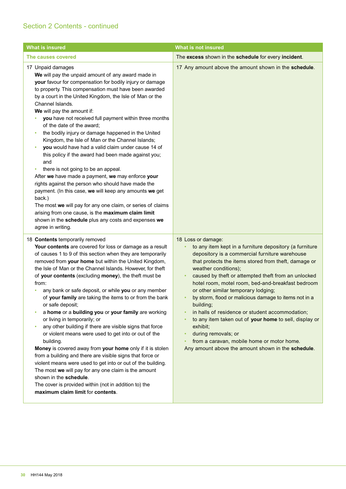| <b>What is insured</b>                                                                                                                                                                                                                                                                                                                                                                                                                                                                                                                                                                                                                                                                                                                                                                                                                                                                                                                                                                                                                                                                     | <b>What is not insured</b>                                                                                                                                                                                                                                                                                                                                                                                                                                                                                                                                                                                                                                                                                                                         |
|--------------------------------------------------------------------------------------------------------------------------------------------------------------------------------------------------------------------------------------------------------------------------------------------------------------------------------------------------------------------------------------------------------------------------------------------------------------------------------------------------------------------------------------------------------------------------------------------------------------------------------------------------------------------------------------------------------------------------------------------------------------------------------------------------------------------------------------------------------------------------------------------------------------------------------------------------------------------------------------------------------------------------------------------------------------------------------------------|----------------------------------------------------------------------------------------------------------------------------------------------------------------------------------------------------------------------------------------------------------------------------------------------------------------------------------------------------------------------------------------------------------------------------------------------------------------------------------------------------------------------------------------------------------------------------------------------------------------------------------------------------------------------------------------------------------------------------------------------------|
| The causes covered                                                                                                                                                                                                                                                                                                                                                                                                                                                                                                                                                                                                                                                                                                                                                                                                                                                                                                                                                                                                                                                                         | The excess shown in the schedule for every incident.                                                                                                                                                                                                                                                                                                                                                                                                                                                                                                                                                                                                                                                                                               |
| 17 Unpaid damages<br>We will pay the unpaid amount of any award made in<br>your favour for compensation for bodily injury or damage<br>to property. This compensation must have been awarded<br>by a court in the United Kingdom, the Isle of Man or the<br>Channel Islands.<br>We will pay the amount if:<br>you have not received full payment within three months<br>of the date of the award;<br>the bodily injury or damage happened in the United<br>٠<br>Kingdom, the Isle of Man or the Channel Islands;<br>you would have had a valid claim under cause 14 of<br>this policy if the award had been made against you;<br>and<br>there is not going to be an appeal.<br>٠<br>After we have made a payment, we may enforce your<br>rights against the person who should have made the<br>payment. (In this case, we will keep any amounts we get<br>back.)<br>The most we will pay for any one claim, or series of claims<br>arising from one cause, is the maximum claim limit<br>shown in the schedule plus any costs and expenses we<br>agree in writing.                         | 17 Any amount above the amount shown in the schedule.                                                                                                                                                                                                                                                                                                                                                                                                                                                                                                                                                                                                                                                                                              |
| 18 Contents temporarily removed<br>Your contents are covered for loss or damage as a result<br>of causes 1 to 9 of this section when they are temporarily<br>removed from your home but within the United Kingdom,<br>the Isle of Man or the Channel Islands. However, for theft<br>of your contents (excluding money), the theft must be<br>from:<br>any bank or safe deposit, or while you or any member<br>of your family are taking the items to or from the bank<br>or safe deposit;<br>a home or a building you or your family are working<br>or living in temporarily; or<br>any other building if there are visible signs that force<br>or violent means were used to get into or out of the<br>building.<br>Money is covered away from your home only if it is stolen<br>from a building and there are visible signs that force or<br>violent means were used to get into or out of the building.<br>The most we will pay for any one claim is the amount<br>shown in the schedule.<br>The cover is provided within (not in addition to) the<br>maximum claim limit for contents. | 18 Loss or damage:<br>to any item kept in a furniture depository (a furniture<br>٠<br>depository is a commercial furniture warehouse<br>that protects the items stored from theft, damage or<br>weather conditions);<br>caused by theft or attempted theft from an unlocked<br>$\bullet$<br>hotel room, motel room, bed-and-breakfast bedroom<br>or other similar temporary lodging;<br>by storm, flood or malicious damage to items not in a<br>$\bullet$<br>building;<br>in halls of residence or student accommodation;<br>٠<br>to any item taken out of your home to sell, display or<br>$\bullet$<br>exhibit;<br>during removals; or<br>٠<br>from a caravan, mobile home or motor home.<br>Any amount above the amount shown in the schedule. |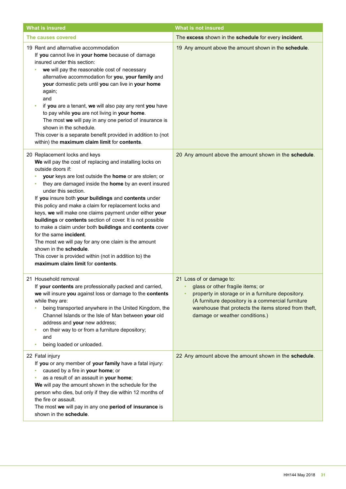| <b>What is insured</b>                                                                                                                                                                                                                                                                                                                                                                                                                                                                                                                                                                                                                                                                                                                                                   | <b>What is not insured</b>                                                                                                                                                                                                                                       |
|--------------------------------------------------------------------------------------------------------------------------------------------------------------------------------------------------------------------------------------------------------------------------------------------------------------------------------------------------------------------------------------------------------------------------------------------------------------------------------------------------------------------------------------------------------------------------------------------------------------------------------------------------------------------------------------------------------------------------------------------------------------------------|------------------------------------------------------------------------------------------------------------------------------------------------------------------------------------------------------------------------------------------------------------------|
| The causes covered                                                                                                                                                                                                                                                                                                                                                                                                                                                                                                                                                                                                                                                                                                                                                       | The excess shown in the schedule for every incident.                                                                                                                                                                                                             |
| 19 Rent and alternative accommodation<br>If you cannot live in your home because of damage<br>insured under this section:<br>we will pay the reasonable cost of necessary<br>alternative accommodation for you, your family and<br>your domestic pets until you can live in your home<br>again;<br>and<br>if you are a tenant, we will also pay any rent you have<br>to pay while you are not living in your home.<br>The most we will pay in any one period of insurance is<br>shown in the schedule.<br>This cover is a separate benefit provided in addition to (not<br>within) the maximum claim limit for contents.                                                                                                                                                 | 19 Any amount above the amount shown in the schedule.                                                                                                                                                                                                            |
| 20 Replacement locks and keys<br>We will pay the cost of replacing and installing locks on<br>outside doors if:<br>your keys are lost outside the home or are stolen; or<br>they are damaged inside the home by an event insured<br>under this section.<br>If you insure both your buildings and contents under<br>this policy and make a claim for replacement locks and<br>keys, we will make one claims payment under either your<br>buildings or contents section of cover. It is not possible<br>to make a claim under both buildings and contents cover<br>for the same incident.<br>The most we will pay for any one claim is the amount<br>shown in the schedule.<br>This cover is provided within (not in addition to) the<br>maximum claim limit for contents. | 20 Any amount above the amount shown in the schedule.                                                                                                                                                                                                            |
| 21 Household removal<br>If your contents are professionally packed and carried,<br>we will insure you against loss or damage to the contents<br>while they are:<br>being transported anywhere in the United Kingdom, the<br>Channel Islands or the Isle of Man between your old<br>address and your new address;<br>on their way to or from a furniture depository;<br>٠<br>and<br>being loaded or unloaded.<br>٠                                                                                                                                                                                                                                                                                                                                                        | 21 Loss of or damage to:<br>glass or other fragile items; or<br>property in storage or in a furniture depository.<br>(A furniture depository is a commercial furniture<br>warehouse that protects the items stored from theft,<br>damage or weather conditions.) |
| 22 Fatal injury<br>If you or any member of your family have a fatal injury:<br>caused by a fire in your home; or<br>as a result of an assault in your home;<br>We will pay the amount shown in the schedule for the<br>person who dies, but only if they die within 12 months of<br>the fire or assault.<br>The most we will pay in any one period of insurance is<br>shown in the schedule.                                                                                                                                                                                                                                                                                                                                                                             | 22 Any amount above the amount shown in the schedule.                                                                                                                                                                                                            |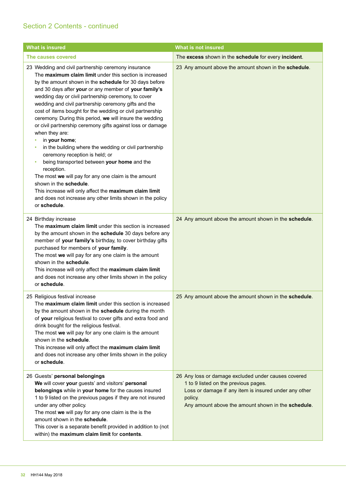| <b>What is insured</b>                                                                                                                                                                                                                                                                                                                                                                                                                                                                                                                                                                                                                                                                                                                                                                                                                                                                                                                                             | <b>What is not insured</b>                                                                                                                                                                                            |
|--------------------------------------------------------------------------------------------------------------------------------------------------------------------------------------------------------------------------------------------------------------------------------------------------------------------------------------------------------------------------------------------------------------------------------------------------------------------------------------------------------------------------------------------------------------------------------------------------------------------------------------------------------------------------------------------------------------------------------------------------------------------------------------------------------------------------------------------------------------------------------------------------------------------------------------------------------------------|-----------------------------------------------------------------------------------------------------------------------------------------------------------------------------------------------------------------------|
| The causes covered                                                                                                                                                                                                                                                                                                                                                                                                                                                                                                                                                                                                                                                                                                                                                                                                                                                                                                                                                 | The excess shown in the schedule for every incident.                                                                                                                                                                  |
| 23 Wedding and civil partnership ceremony insurance<br>The maximum claim limit under this section is increased<br>by the amount shown in the schedule for 30 days before<br>and 30 days after your or any member of your family's<br>wedding day or civil partnership ceremony, to cover<br>wedding and civil partnership ceremony gifts and the<br>cost of items bought for the wedding or civil partnership<br>ceremony. During this period, we will insure the wedding<br>or civil partnership ceremony gifts against loss or damage<br>when they are:<br>in your home;<br>in the building where the wedding or civil partnership<br>ceremony reception is held; or<br>being transported between your home and the<br>٠<br>reception.<br>The most we will pay for any one claim is the amount<br>shown in the schedule.<br>This increase will only affect the maximum claim limit<br>and does not increase any other limits shown in the policy<br>or schedule. | 23 Any amount above the amount shown in the schedule.                                                                                                                                                                 |
| 24 Birthday increase<br>The maximum claim limit under this section is increased<br>by the amount shown in the schedule 30 days before any<br>member of your family's birthday, to cover birthday gifts<br>purchased for members of your family.<br>The most we will pay for any one claim is the amount<br>shown in the schedule.<br>This increase will only affect the maximum claim limit<br>and does not increase any other limits shown in the policy<br>or schedule.                                                                                                                                                                                                                                                                                                                                                                                                                                                                                          | 24 Any amount above the amount shown in the schedule.                                                                                                                                                                 |
| 25 Religious festival increase<br>The maximum claim limit under this section is increased<br>by the amount shown in the schedule during the month<br>of your religious festival to cover gifts and extra food and<br>drink bought for the religious festival.<br>The most we will pay for any one claim is the amount<br>shown in the schedule.<br>This increase will only affect the maximum claim limit<br>and does not increase any other limits shown in the policy<br>or schedule.                                                                                                                                                                                                                                                                                                                                                                                                                                                                            | 25 Any amount above the amount shown in the schedule.                                                                                                                                                                 |
| 26 Guests' personal belongings<br>We will cover your guests' and visitors' personal<br>belongings while in your home for the causes insured<br>1 to 9 listed on the previous pages if they are not insured<br>under any other policy.<br>The most we will pay for any one claim is the is the<br>amount shown in the schedule.<br>This cover is a separate benefit provided in addition to (not<br>within) the maximum claim limit for contents.                                                                                                                                                                                                                                                                                                                                                                                                                                                                                                                   | 26 Any loss or damage excluded under causes covered<br>1 to 9 listed on the previous pages.<br>Loss or damage if any item is insured under any other<br>policy.<br>Any amount above the amount shown in the schedule. |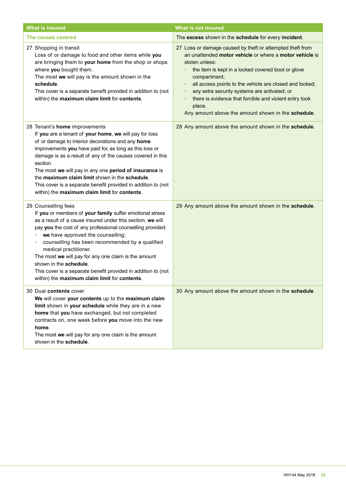| <b>What is insured</b>                                                                                                                                                                                                                                                                                                                                                                                                                                                                                                                     | <b>What is not insured</b>                                                                                                                                                                                                                                                                                                                                                                                                                                                  |
|--------------------------------------------------------------------------------------------------------------------------------------------------------------------------------------------------------------------------------------------------------------------------------------------------------------------------------------------------------------------------------------------------------------------------------------------------------------------------------------------------------------------------------------------|-----------------------------------------------------------------------------------------------------------------------------------------------------------------------------------------------------------------------------------------------------------------------------------------------------------------------------------------------------------------------------------------------------------------------------------------------------------------------------|
| The causes covered                                                                                                                                                                                                                                                                                                                                                                                                                                                                                                                         | The excess shown in the schedule for every incident.                                                                                                                                                                                                                                                                                                                                                                                                                        |
| 27 Shopping in transit<br>Loss of or damage to food and other items while you<br>are bringing them to your home from the shop or shops<br>where you bought them.<br>The most we will pay is the amount shown in the<br>schedule.<br>This cover is a separate benefit provided in addition to (not<br>within) the maximum claim limit for contents.                                                                                                                                                                                         | 27 Loss or damage caused by theft or attempted theft from<br>an unattended motor vehicle or where a motor vehicle is<br>stolen unless:<br>the item is kept in a locked covered boot or glove<br>compartment;<br>all access points to the vehicle are closed and locked;<br>$\bullet$<br>any extra security systems are activated; or<br>$\bullet$<br>there is evidence that forcible and violent entry took<br>place.<br>Any amount above the amount shown in the schedule. |
| 28 Tenant's home improvements<br>If you are a tenant of your home, we will pay for loss<br>of or damage to interior decorations and any home<br>improvements you have paid for, as long as this loss or<br>damage is as a result of any of the causes covered in this<br>section.<br>The most we will pay in any one period of insurance is<br>the maximum claim limit shown in the schedule.<br>This cover is a separate benefit provided in addition to (not<br>within) the maximum claim limit for contents.                            | 28 Any amount above the amount shown in the schedule.                                                                                                                                                                                                                                                                                                                                                                                                                       |
| 29 Counselling fees<br>If you or members of your family suffer emotional stress<br>as a result of a cause insured under this section, we will<br>pay you the cost of any professional counselling provided:<br>we have approved the counselling;<br>٠<br>counselling has been recommended by a qualified<br>٠<br>medical practitioner.<br>The most we will pay for any one claim is the amount<br>shown in the schedule.<br>This cover is a separate benefit provided in addition to (not<br>within) the maximum claim limit for contents. | 29 Any amount above the amount shown in the schedule.                                                                                                                                                                                                                                                                                                                                                                                                                       |
| 30 Dual contents cover<br>We will cover your contents up to the maximum claim<br>limit shown in your schedule while they are in a new<br>home that you have exchanged, but not completed<br>contracts on, one week before you move into the new<br>home.<br>The most we will pay for any one claim is the amount<br>shown in the schedule.                                                                                                                                                                                                 | 30 Any amount above the amount shown in the schedule.                                                                                                                                                                                                                                                                                                                                                                                                                       |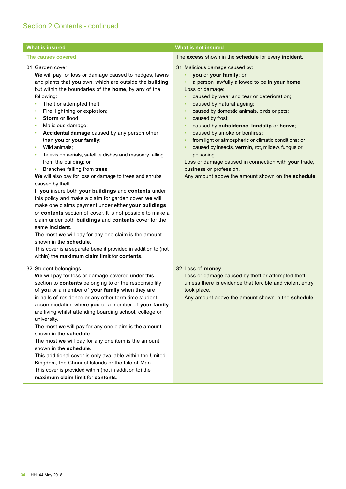| <b>What is insured</b>                                                                                                                                                                                                                                                                                                                                                                                                                                                                                                                                                                                                                                                                                                                                                                                                                                                                                                                                                                                                                                                                                                                                           | <b>What is not insured</b>                                                                                                                                                                                                                                                                                                                                                                                                                                                                                                                                                                                                                                                                            |
|------------------------------------------------------------------------------------------------------------------------------------------------------------------------------------------------------------------------------------------------------------------------------------------------------------------------------------------------------------------------------------------------------------------------------------------------------------------------------------------------------------------------------------------------------------------------------------------------------------------------------------------------------------------------------------------------------------------------------------------------------------------------------------------------------------------------------------------------------------------------------------------------------------------------------------------------------------------------------------------------------------------------------------------------------------------------------------------------------------------------------------------------------------------|-------------------------------------------------------------------------------------------------------------------------------------------------------------------------------------------------------------------------------------------------------------------------------------------------------------------------------------------------------------------------------------------------------------------------------------------------------------------------------------------------------------------------------------------------------------------------------------------------------------------------------------------------------------------------------------------------------|
| The causes covered                                                                                                                                                                                                                                                                                                                                                                                                                                                                                                                                                                                                                                                                                                                                                                                                                                                                                                                                                                                                                                                                                                                                               | The excess shown in the schedule for every incident.                                                                                                                                                                                                                                                                                                                                                                                                                                                                                                                                                                                                                                                  |
| 31 Garden cover<br>We will pay for loss or damage caused to hedges, lawns<br>and plants that you own, which are outside the building<br>but within the boundaries of the home, by any of the<br>following:<br>Theft or attempted theft;<br>٠<br>Fire, lightning or explosion;<br>Storm or flood;<br>٠<br>Malicious damage;<br>Accidental damage caused by any person other<br>than you or your family;<br>Wild animals;<br>٠<br>Television aerials, satellite dishes and masonry falling<br>٠<br>from the building; or<br>Branches falling from trees.<br>٠<br>We will also pay for loss or damage to trees and shrubs<br>caused by theft.<br>If you insure both your buildings and contents under<br>this policy and make a claim for garden cover, we will<br>make one claims payment under either your buildings<br>or contents section of cover. It is not possible to make a<br>claim under both buildings and contents cover for the<br>same incident.<br>The most we will pay for any one claim is the amount<br>shown in the schedule.<br>This cover is a separate benefit provided in addition to (not<br>within) the maximum claim limit for contents. | 31 Malicious damage caused by:<br>you or your family; or<br>$\bullet$<br>a person lawfully allowed to be in your home.<br>Loss or damage:<br>caused by wear and tear or deterioration;<br>٠<br>caused by natural ageing;<br>٠<br>caused by domestic animals, birds or pets;<br>٠<br>caused by frost;<br>$\bullet$<br>caused by subsidence, landslip or heave;<br>٠<br>caused by smoke or bonfires;<br>$\bullet$<br>from light or atmospheric or climatic conditions; or<br>$\bullet$<br>caused by insects, vermin, rot, mildew, fungus or<br>٠<br>poisoning.<br>Loss or damage caused in connection with your trade,<br>business or profession.<br>Any amount above the amount shown on the schedule. |
| 32 Student belongings<br>We will pay for loss or damage covered under this<br>section to contents belonging to or the responsibility<br>of you or a member of your family when they are<br>in halls of residence or any other term time student<br>accommodation where you or a member of your family<br>are living whilst attending boarding school, college or<br>university.<br>The most we will pay for any one claim is the amount<br>shown in the schedule.<br>The most we will pay for any one item is the amount<br>shown in the schedule.<br>This additional cover is only available within the United<br>Kingdom, the Channel Islands or the Isle of Man.<br>This cover is provided within (not in addition to) the<br>maximum claim limit for contents.                                                                                                                                                                                                                                                                                                                                                                                               | 32 Loss of money.<br>Loss or damage caused by theft or attempted theft<br>unless there is evidence that forcible and violent entry<br>took place.<br>Any amount above the amount shown in the schedule.                                                                                                                                                                                                                                                                                                                                                                                                                                                                                               |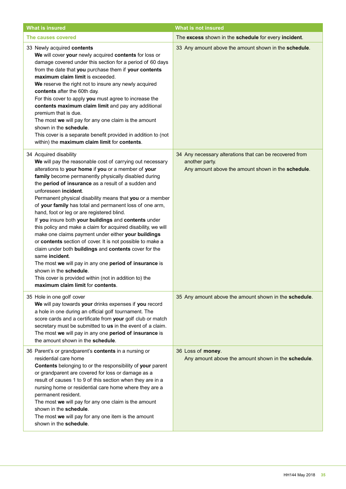| <b>What is insured</b>                                                                                                                                                                                                                                                                                                                                                                                                                                                                                                                                                                                                                                                                                                                                                                                                                                                                                                                                             | <b>What is not insured</b>                                                                                                      |
|--------------------------------------------------------------------------------------------------------------------------------------------------------------------------------------------------------------------------------------------------------------------------------------------------------------------------------------------------------------------------------------------------------------------------------------------------------------------------------------------------------------------------------------------------------------------------------------------------------------------------------------------------------------------------------------------------------------------------------------------------------------------------------------------------------------------------------------------------------------------------------------------------------------------------------------------------------------------|---------------------------------------------------------------------------------------------------------------------------------|
| The causes covered                                                                                                                                                                                                                                                                                                                                                                                                                                                                                                                                                                                                                                                                                                                                                                                                                                                                                                                                                 | The excess shown in the schedule for every incident.                                                                            |
| 33 Newly acquired contents<br>We will cover your newly acquired contents for loss or<br>damage covered under this section for a period of 60 days<br>from the date that you purchase them if your contents<br>maximum claim limit is exceeded.<br>We reserve the right not to insure any newly acquired<br>contents after the 60th day.<br>For this cover to apply you must agree to increase the<br>contents maximum claim limit and pay any additional<br>premium that is due.<br>The most we will pay for any one claim is the amount<br>shown in the schedule.<br>This cover is a separate benefit provided in addition to (not<br>within) the maximum claim limit for contents.                                                                                                                                                                                                                                                                               | 33 Any amount above the amount shown in the schedule.                                                                           |
| 34 Acquired disability<br>We will pay the reasonable cost of carrying out necessary<br>alterations to your home if you or a member of your<br>family become permanently physically disabled during<br>the period of insurance as a result of a sudden and<br>unforeseen incident.<br>Permanent physical disability means that you or a member<br>of your family has total and permanent loss of one arm,<br>hand, foot or leg or are registered blind.<br>If you insure both your buildings and contents under<br>this policy and make a claim for acquired disability, we will<br>make one claims payment under either your buildings<br>or contents section of cover. It is not possible to make a<br>claim under both buildings and contents cover for the<br>same incident.<br>The most we will pay in any one period of insurance is<br>shown in the schedule.<br>This cover is provided within (not in addition to) the<br>maximum claim limit for contents. | 34 Any necessary alterations that can be recovered from<br>another party.<br>Any amount above the amount shown in the schedule. |
| 35 Hole in one golf cover<br>We will pay towards your drinks expenses if you record<br>a hole in one during an official golf tournament. The<br>score cards and a certificate from your golf club or match<br>secretary must be submitted to us in the event of a claim.<br>The most we will pay in any one period of insurance is<br>the amount shown in the schedule.                                                                                                                                                                                                                                                                                                                                                                                                                                                                                                                                                                                            | 35 Any amount above the amount shown in the schedule.                                                                           |
| 36 Parent's or grandparent's contents in a nursing or<br>residential care home<br>Contents belonging to or the responsibility of your parent<br>or grandparent are covered for loss or damage as a<br>result of causes 1 to 9 of this section when they are in a<br>nursing home or residential care home where they are a<br>permanent resident.<br>The most we will pay for any one claim is the amount<br>shown in the schedule.<br>The most we will pay for any one item is the amount<br>shown in the schedule.                                                                                                                                                                                                                                                                                                                                                                                                                                               | 36 Loss of money.<br>Any amount above the amount shown in the schedule.                                                         |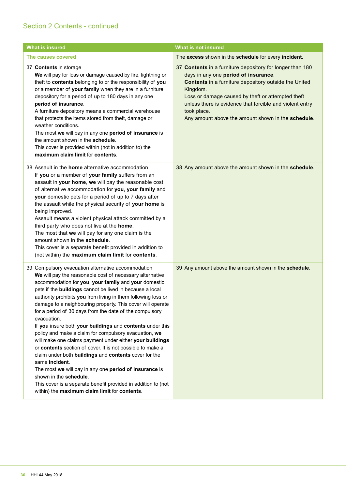| <b>What is insured</b>                                                                                                                                                                                                                                                                                                                                                                                                                                                                                                                                                                                                                                                                                                                                                                                                                                                                                                                                                       | <b>What is not insured</b>                                                                                                                                                                                                                                                                                                                                   |
|------------------------------------------------------------------------------------------------------------------------------------------------------------------------------------------------------------------------------------------------------------------------------------------------------------------------------------------------------------------------------------------------------------------------------------------------------------------------------------------------------------------------------------------------------------------------------------------------------------------------------------------------------------------------------------------------------------------------------------------------------------------------------------------------------------------------------------------------------------------------------------------------------------------------------------------------------------------------------|--------------------------------------------------------------------------------------------------------------------------------------------------------------------------------------------------------------------------------------------------------------------------------------------------------------------------------------------------------------|
| The causes covered                                                                                                                                                                                                                                                                                                                                                                                                                                                                                                                                                                                                                                                                                                                                                                                                                                                                                                                                                           | The excess shown in the schedule for every incident.                                                                                                                                                                                                                                                                                                         |
| 37 Contents in storage<br>We will pay for loss or damage caused by fire, lightning or<br>theft to contents belonging to or the responsibility of you<br>or a member of your family when they are in a furniture<br>depository for a period of up to 180 days in any one<br>period of insurance.<br>A furniture depository means a commercial warehouse<br>that protects the items stored from theft, damage or<br>weather conditions.<br>The most we will pay in any one period of insurance is<br>the amount shown in the schedule.<br>This cover is provided within (not in addition to) the<br>maximum claim limit for contents.                                                                                                                                                                                                                                                                                                                                          | 37 Contents in a furniture depository for longer than 180<br>days in any one period of insurance.<br>Contents in a furniture depository outside the United<br>Kingdom.<br>Loss or damage caused by theft or attempted theft<br>unless there is evidence that forcible and violent entry<br>took place.<br>Any amount above the amount shown in the schedule. |
| 38 Assault in the <b>home</b> alternative accommodation<br>If you or a member of your family suffers from an<br>assault in your home, we will pay the reasonable cost<br>of alternative accommodation for you, your family and<br>your domestic pets for a period of up to 7 days after<br>the assault while the physical security of your home is<br>being improved.<br>Assault means a violent physical attack committed by a<br>third party who does not live at the home.<br>The most that we will pay for any one claim is the<br>amount shown in the schedule.<br>This cover is a separate benefit provided in addition to<br>(not within) the maximum claim limit for contents.                                                                                                                                                                                                                                                                                       | 38 Any amount above the amount shown in the schedule.                                                                                                                                                                                                                                                                                                        |
| 39 Compulsory evacuation alternative accommodation<br>We will pay the reasonable cost of necessary alternative<br>accommodation for you, your family and your domestic<br>pets if the buildings cannot be lived in because a local<br>authority prohibits you from living in them following loss or<br>damage to a neighbouring property. This cover will operate<br>for a period of 30 days from the date of the compulsory<br>evacuation.<br>If you insure both your buildings and contents under this<br>policy and make a claim for compulsory evacuation, we<br>will make one claims payment under either your buildings<br>or contents section of cover. It is not possible to make a<br>claim under both buildings and contents cover for the<br>same incident.<br>The most we will pay in any one period of insurance is<br>shown in the schedule.<br>This cover is a separate benefit provided in addition to (not<br>within) the maximum claim limit for contents. | 39 Any amount above the amount shown in the schedule.                                                                                                                                                                                                                                                                                                        |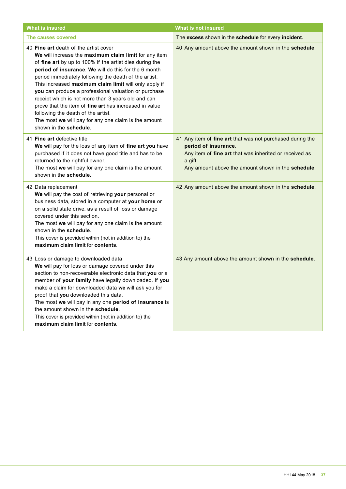| <b>What is insured</b>                                                                                                                                                                                                                                                                                                                                                                                                                                                                                                                                                                                                              | What is not insured                                                                                                                                                                                          |
|-------------------------------------------------------------------------------------------------------------------------------------------------------------------------------------------------------------------------------------------------------------------------------------------------------------------------------------------------------------------------------------------------------------------------------------------------------------------------------------------------------------------------------------------------------------------------------------------------------------------------------------|--------------------------------------------------------------------------------------------------------------------------------------------------------------------------------------------------------------|
| The causes covered                                                                                                                                                                                                                                                                                                                                                                                                                                                                                                                                                                                                                  | The excess shown in the schedule for every incident.                                                                                                                                                         |
| 40 Fine art death of the artist cover<br>We will increase the maximum claim limit for any item<br>of fine art by up to 100% if the artist dies during the<br>period of insurance. We will do this for the 6 month<br>period immediately following the death of the artist.<br>This increased maximum claim limit will only apply if<br>you can produce a professional valuation or purchase<br>receipt which is not more than 3 years old and can<br>prove that the item of fine art has increased in value<br>following the death of the artist.<br>The most we will pay for any one claim is the amount<br>shown in the schedule. | 40 Any amount above the amount shown in the schedule.                                                                                                                                                        |
| 41 Fine art defective title<br>We will pay for the loss of any item of fine art you have<br>purchased if it does not have good title and has to be<br>returned to the rightful owner.<br>The most we will pay for any one claim is the amount<br>shown in the schedule.                                                                                                                                                                                                                                                                                                                                                             | 41 Any item of fine art that was not purchased during the<br>period of insurance.<br>Any item of fine art that was inherited or received as<br>a gift.<br>Any amount above the amount shown in the schedule. |
| 42 Data replacement<br>We will pay the cost of retrieving your personal or<br>business data, stored in a computer at your home or<br>on a solid state drive, as a result of loss or damage<br>covered under this section.<br>The most we will pay for any one claim is the amount<br>shown in the schedule.<br>This cover is provided within (not in addition to) the<br>maximum claim limit for contents.                                                                                                                                                                                                                          | 42 Any amount above the amount shown in the schedule.                                                                                                                                                        |
| 43 Loss or damage to downloaded data<br>We will pay for loss or damage covered under this<br>section to non-recoverable electronic data that you or a<br>member of your family have legally downloaded. If you<br>make a claim for downloaded data we will ask you for<br>proof that you downloaded this data.<br>The most we will pay in any one period of insurance is<br>the amount shown in the schedule.<br>This cover is provided within (not in addition to) the<br>maximum claim limit for contents.                                                                                                                        | 43 Any amount above the amount shown in the schedule.                                                                                                                                                        |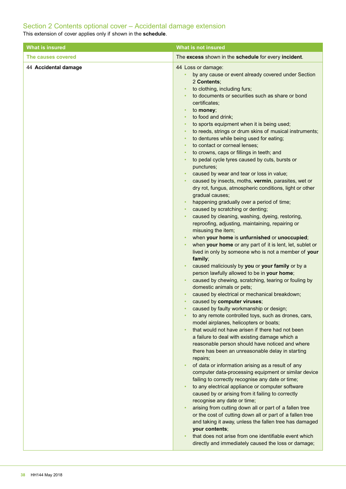## Section 2 Contents optional cover – Accidental damage extension

This extension of cover applies only if shown in the **schedule**.

| <b>What is insured</b> | <b>What is not insured</b>                                                                                                                                                                                                                                                                                                                                                                                                                                                                                                                                                                                                                                                                                                                                                                                                                                                                                                                                                                                                                                                                                                                                                                                                                                                                                                                                                                                                                                                                                                                                                                                                                                                                                                                                                                                                                                                                                                                                                                                                                                                                                                                                                                                                                                                                                                                                           |
|------------------------|----------------------------------------------------------------------------------------------------------------------------------------------------------------------------------------------------------------------------------------------------------------------------------------------------------------------------------------------------------------------------------------------------------------------------------------------------------------------------------------------------------------------------------------------------------------------------------------------------------------------------------------------------------------------------------------------------------------------------------------------------------------------------------------------------------------------------------------------------------------------------------------------------------------------------------------------------------------------------------------------------------------------------------------------------------------------------------------------------------------------------------------------------------------------------------------------------------------------------------------------------------------------------------------------------------------------------------------------------------------------------------------------------------------------------------------------------------------------------------------------------------------------------------------------------------------------------------------------------------------------------------------------------------------------------------------------------------------------------------------------------------------------------------------------------------------------------------------------------------------------------------------------------------------------------------------------------------------------------------------------------------------------------------------------------------------------------------------------------------------------------------------------------------------------------------------------------------------------------------------------------------------------------------------------------------------------------------------------------------------------|
| The causes covered     | The excess shown in the schedule for every incident.                                                                                                                                                                                                                                                                                                                                                                                                                                                                                                                                                                                                                                                                                                                                                                                                                                                                                                                                                                                                                                                                                                                                                                                                                                                                                                                                                                                                                                                                                                                                                                                                                                                                                                                                                                                                                                                                                                                                                                                                                                                                                                                                                                                                                                                                                                                 |
| 44 Accidental damage   | 44 Loss or damage:<br>by any cause or event already covered under Section<br>2 Contents:<br>to clothing, including furs;<br>to documents or securities such as share or bond<br>certificates;<br>to money;<br>٠<br>to food and drink;<br>$\bullet$<br>to sports equipment when it is being used;<br>to reeds, strings or drum skins of musical instruments;<br>to dentures while being used for eating;<br>$\bullet$<br>to contact or corneal lenses;<br>to crowns, caps or fillings in teeth; and<br>to pedal cycle tyres caused by cuts, bursts or<br>punctures;<br>caused by wear and tear or loss in value;<br>caused by insects, moths, vermin, parasites, wet or<br>dry rot, fungus, atmospheric conditions, light or other<br>gradual causes;<br>happening gradually over a period of time;<br>caused by scratching or denting;<br>٠<br>caused by cleaning, washing, dyeing, restoring,<br>$\bullet$<br>reproofing, adjusting, maintaining, repairing or<br>misusing the item;<br>when your home is unfurnished or unoccupied;<br>$\bullet$<br>when your home or any part of it is lent, let, sublet or<br>$\bullet$<br>lived in only by someone who is not a member of your<br>family;<br>caused maliciously by you or your family or by a<br>person lawfully allowed to be in your home;<br>caused by chewing, scratching, tearing or fouling by<br>domestic animals or pets;<br>caused by electrical or mechanical breakdown;<br>caused by computer viruses;<br>caused by faulty workmanship or design;<br>to any remote controlled toys, such as drones, cars,<br>model airplanes, helicopters or boats;<br>that would not have arisen if there had not been<br>a failure to deal with existing damage which a<br>reasonable person should have noticed and where<br>there has been an unreasonable delay in starting<br>repairs;<br>of data or information arising as a result of any<br>computer data-processing equipment or similar device<br>failing to correctly recognise any date or time;<br>to any electrical appliance or computer software<br>caused by or arising from it failing to correctly<br>recognise any date or time;<br>arising from cutting down all or part of a fallen tree<br>$\bullet$<br>or the cost of cutting down all or part of a fallen tree<br>and taking it away, unless the fallen tree has damaged<br>your contents; |
|                        | that does not arise from one identifiable event which<br>directly and immediately caused the loss or damage;                                                                                                                                                                                                                                                                                                                                                                                                                                                                                                                                                                                                                                                                                                                                                                                                                                                                                                                                                                                                                                                                                                                                                                                                                                                                                                                                                                                                                                                                                                                                                                                                                                                                                                                                                                                                                                                                                                                                                                                                                                                                                                                                                                                                                                                         |
|                        |                                                                                                                                                                                                                                                                                                                                                                                                                                                                                                                                                                                                                                                                                                                                                                                                                                                                                                                                                                                                                                                                                                                                                                                                                                                                                                                                                                                                                                                                                                                                                                                                                                                                                                                                                                                                                                                                                                                                                                                                                                                                                                                                                                                                                                                                                                                                                                      |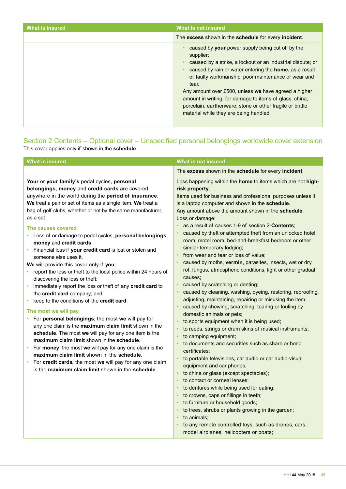| What is insured | What is not insured                                                                                                                                                                                                                                                                                                                                                                                                                                                             |
|-----------------|---------------------------------------------------------------------------------------------------------------------------------------------------------------------------------------------------------------------------------------------------------------------------------------------------------------------------------------------------------------------------------------------------------------------------------------------------------------------------------|
|                 | The excess shown in the schedule for every incident.                                                                                                                                                                                                                                                                                                                                                                                                                            |
|                 | caused by your power supply being cut off by the<br>supplier;<br>caused by a strike, a lockout or an industrial dispute; or<br>caused by rain or water entering the home, as a result<br>of faulty workmanship, poor maintenance or wear and<br>tear.<br>Any amount over £500, unless we have agreed a higher<br>amount in writing, for damage to items of glass, china,<br>porcelain, earthenware, stone or other fragile or brittle<br>material while they are being handled. |

## Section 2 Contents – Optional cover – Unspecified personal belongings worldwide cover extension This cover applies only if shown in the **schedule**.

| What is not insured                                                                                                                                                                                                                                                                                                                                                                                                                                                                                                                                                                                                                                                                                                                                                                                                                                                                                                                                                                                                                                                                                                                                                                                                                                                                                                                                                                                                                                                     |
|-------------------------------------------------------------------------------------------------------------------------------------------------------------------------------------------------------------------------------------------------------------------------------------------------------------------------------------------------------------------------------------------------------------------------------------------------------------------------------------------------------------------------------------------------------------------------------------------------------------------------------------------------------------------------------------------------------------------------------------------------------------------------------------------------------------------------------------------------------------------------------------------------------------------------------------------------------------------------------------------------------------------------------------------------------------------------------------------------------------------------------------------------------------------------------------------------------------------------------------------------------------------------------------------------------------------------------------------------------------------------------------------------------------------------------------------------------------------------|
| The excess shown in the schedule for every incident.                                                                                                                                                                                                                                                                                                                                                                                                                                                                                                                                                                                                                                                                                                                                                                                                                                                                                                                                                                                                                                                                                                                                                                                                                                                                                                                                                                                                                    |
| Loss happening within the home to items which are not high-<br>risk property.<br>Items used for business and professional purposes unless it<br>is a laptop computer and shown in the schedule.<br>Any amount above the amount shown in the schedule.<br>Loss or damage:<br>as a result of causes 1-9 of section 2-Contents;<br>caused by theft or attempted theft from an unlocked hotel<br>room, motel room, bed-and-breakfast bedroom or other<br>similar temporary lodging;<br>from wear and tear or loss of value;<br>caused by moths, vermin, parasites, insects, wet or dry<br>rot, fungus, atmospheric conditions, light or other gradual<br>causes;<br>caused by scratching or denting;<br>caused by cleaning, washing, dyeing, restoring, reproofing,<br>adjusting, maintaining, repairing or misusing the item;<br>caused by chewing, scratching, tearing or fouling by<br>domestic animals or pets;<br>to sports equipment when it is being used;<br>to reeds, strings or drum skins of musical instruments;<br>to camping equipment;<br>to documents and securities such as share or bond<br>certificates;<br>to portable televisions, car audio or car audio-visual<br>equipment and car phones;<br>to china or glass (except spectacles);<br>to contact or corneal lenses;<br>to dentures while being used for eating;<br>to crowns, caps or fillings in teeth;<br>to furniture or household goods;<br>to trees, shrubs or plants growing in the garden; |
|                                                                                                                                                                                                                                                                                                                                                                                                                                                                                                                                                                                                                                                                                                                                                                                                                                                                                                                                                                                                                                                                                                                                                                                                                                                                                                                                                                                                                                                                         |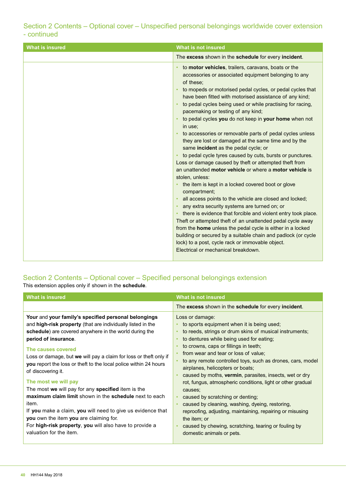## Section 2 Contents – Optional cover – Unspecified personal belongings worldwide cover extension - continued

## Section 2 Contents – Optional cover – Specified personal belongings extension

This extension applies only if shown in the **schedule**.

| <b>What is insured</b>                                                                                                                                                                                                                                                                                                                                                                                                                                                                                                                                                                                                                                                                                                                     | What is not insured                                                                                                                                                                                                                                                                                                                                                                                                                                                                                                                                                                                                                                                                                                                                   |
|--------------------------------------------------------------------------------------------------------------------------------------------------------------------------------------------------------------------------------------------------------------------------------------------------------------------------------------------------------------------------------------------------------------------------------------------------------------------------------------------------------------------------------------------------------------------------------------------------------------------------------------------------------------------------------------------------------------------------------------------|-------------------------------------------------------------------------------------------------------------------------------------------------------------------------------------------------------------------------------------------------------------------------------------------------------------------------------------------------------------------------------------------------------------------------------------------------------------------------------------------------------------------------------------------------------------------------------------------------------------------------------------------------------------------------------------------------------------------------------------------------------|
|                                                                                                                                                                                                                                                                                                                                                                                                                                                                                                                                                                                                                                                                                                                                            | The excess shown in the schedule for every incident.                                                                                                                                                                                                                                                                                                                                                                                                                                                                                                                                                                                                                                                                                                  |
| Your and your family's specified personal belongings<br>and high-risk property (that are individually listed in the<br>schedule) are covered anywhere in the world during the<br>period of insurance.<br>The causes covered<br>Loss or damage, but we will pay a claim for loss or theft only if<br>you report the loss or theft to the local police within 24 hours<br>of discovering it.<br>The most we will pay<br>The most we will pay for any specified item is the<br>maximum claim limit shown in the schedule next to each<br>item.<br>If you make a claim, you will need to give us evidence that<br>you own the item you are claiming for.<br>For high-risk property, you will also have to provide a<br>valuation for the item. | Loss or damage:<br>to sports equipment when it is being used;<br>to reeds, strings or drum skins of musical instruments;<br>to dentures while being used for eating;<br>to crowns, caps or fillings in teeth;<br>from wear and tear or loss of value;<br>to any remote controlled toys, such as drones, cars, model<br>airplanes, helicopters or boats;<br>caused by moths, vermin, parasites, insects, wet or dry<br>rot, fungus, atmospheric conditions, light or other gradual<br>causes;<br>caused by scratching or denting;<br>caused by cleaning, washing, dyeing, restoring,<br>reproofing, adjusting, maintaining, repairing or misusing<br>the item; or<br>caused by chewing, scratching, tearing or fouling by<br>domestic animals or pets. |
|                                                                                                                                                                                                                                                                                                                                                                                                                                                                                                                                                                                                                                                                                                                                            |                                                                                                                                                                                                                                                                                                                                                                                                                                                                                                                                                                                                                                                                                                                                                       |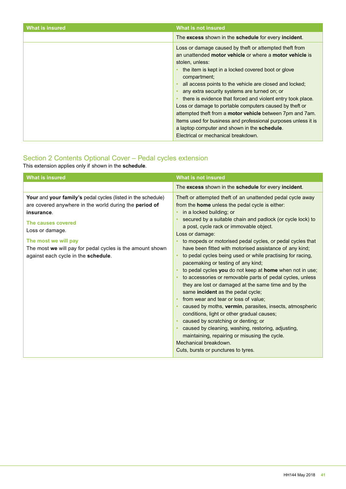| <b>What is insured</b> | What is not insured                                                                                                                                                                                                                                                                                                                                                                                                                                                                                                                                                                                                                                                   |
|------------------------|-----------------------------------------------------------------------------------------------------------------------------------------------------------------------------------------------------------------------------------------------------------------------------------------------------------------------------------------------------------------------------------------------------------------------------------------------------------------------------------------------------------------------------------------------------------------------------------------------------------------------------------------------------------------------|
|                        | The excess shown in the schedule for every incident.                                                                                                                                                                                                                                                                                                                                                                                                                                                                                                                                                                                                                  |
|                        | Loss or damage caused by theft or attempted theft from<br>an unattended motor vehicle or where a motor vehicle is<br>stolen, unless:<br>the item is kept in a locked covered boot or glove<br>compartment;<br>all access points to the vehicle are closed and locked;<br>any extra security systems are turned on; or<br>there is evidence that forced and violent entry took place.<br>Loss or damage to portable computers caused by theft or<br>attempted theft from a motor vehicle between 7pm and 7am.<br>Items used for business and professional purposes unless it is<br>a laptop computer and shown in the schedule.<br>Electrical or mechanical breakdown. |

## Section 2 Contents Optional Cover – Pedal cycles extension

This extension applies only if shown in the **schedule**.

| <b>What is insured</b>                                                                                                                                                                                                                                                                                    | <b>What is not insured</b>                                                                                                                                                                                                                                                                                                                                                                                                                                                                                                                                                                                                                                                                                                                                                                                                                                                                                                                                                                                                                       |
|-----------------------------------------------------------------------------------------------------------------------------------------------------------------------------------------------------------------------------------------------------------------------------------------------------------|--------------------------------------------------------------------------------------------------------------------------------------------------------------------------------------------------------------------------------------------------------------------------------------------------------------------------------------------------------------------------------------------------------------------------------------------------------------------------------------------------------------------------------------------------------------------------------------------------------------------------------------------------------------------------------------------------------------------------------------------------------------------------------------------------------------------------------------------------------------------------------------------------------------------------------------------------------------------------------------------------------------------------------------------------|
|                                                                                                                                                                                                                                                                                                           | The excess shown in the schedule for every incident.                                                                                                                                                                                                                                                                                                                                                                                                                                                                                                                                                                                                                                                                                                                                                                                                                                                                                                                                                                                             |
| Your and your family's pedal cycles (listed in the schedule)<br>are covered anywhere in the world during the period of<br>insurance.<br>The causes covered<br>Loss or damage.<br>The most we will pay<br>The most we will pay for pedal cycles is the amount shown<br>against each cycle in the schedule. | Theft or attempted theft of an unattended pedal cycle away<br>from the home unless the pedal cycle is either:<br>in a locked building; or<br>secured by a suitable chain and padlock (or cycle lock) to<br>a post, cycle rack or immovable object.<br>Loss or damage:<br>to mopeds or motorised pedal cycles, or pedal cycles that<br>have been fitted with motorised assistance of any kind;<br>to pedal cycles being used or while practising for racing,<br>pacemaking or testing of any kind;<br>to pedal cycles you do not keep at home when not in use;<br>to accessories or removable parts of pedal cycles, unless<br>they are lost or damaged at the same time and by the<br>same incident as the pedal cycle;<br>from wear and tear or loss of value;<br>caused by moths, vermin, parasites, insects, atmospheric<br>conditions, light or other gradual causes;<br>caused by scratching or denting; or<br>caused by cleaning, washing, restoring, adjusting,<br>maintaining, repairing or misusing the cycle.<br>Mechanical breakdown. |
|                                                                                                                                                                                                                                                                                                           | Cuts, bursts or punctures to tyres.                                                                                                                                                                                                                                                                                                                                                                                                                                                                                                                                                                                                                                                                                                                                                                                                                                                                                                                                                                                                              |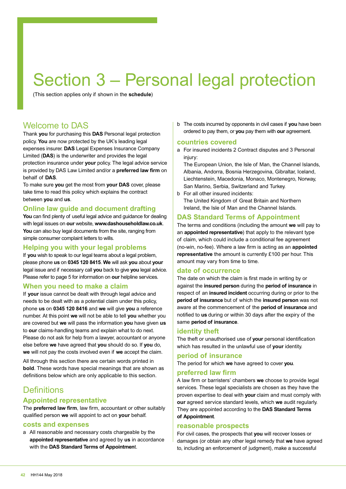## Section 3 – Personal legal protection

(This section applies only if shown in the **schedule**)

## Welcome to DAS

Thank **you** for purchasing this **DAS** Personal legal protection policy. **You** are now protected by the UK's leading legal expenses insurer. **DAS** Legal Expenses Insurance Company Limited (**DAS**) is the underwriter and provides the legal protection insurance under **your** policy. The legal advice service is provided by DAS Law Limited and/or a **preferred law firm** on behalf of **DAS**.

To make sure **you** get the most from **your DAS** cover, please take time to read this policy which explains the contract between **you** and **us**.

## **Online law guide and document drafting**

**You** can find plenty of useful legal advice and guidance for dealing with legal issues on **our** website, **www.dashouseholdlaw.co.uk**. **You** can also buy legal documents from the site, ranging from simple consumer complaint letters to wills.

## **Helping you with your legal problems**

If **you** wish to speak to our legal teams about a legal problem, please phone **us** on **0345 120 8415**. **We** will ask **you** about **your** legal issue and if necessary call **you** back to give **you** legal advice. Please refer to page 5 for information on **our** helpline services.

## **When you need to make a claim**

If **your** issue cannot be dealt with through legal advice and needs to be dealt with as a potential claim under this policy, phone **us** on **0345 120 8416** and **we** will give **you** a reference number. At this point **we** will not be able to tell **you** whether you are covered but **we** will pass the information **you** have given **us** to **our** claims-handling teams and explain what to do next. Please do not ask for help from a lawyer, accountant or anyone else before **we** have agreed that **you** should do so. If **you** do, **we** will not pay the costs involved even if **we** accept the claim.

All through this section there are certain words printed in **bold**. These words have special meanings that are shown as definitions below which are only applicable to this section.

## **Definitions**

## **Appointed representative**

The **preferred law firm**, law firm, accountant or other suitably qualified person **we** will appoint to act on **your** behalf.

## **costs and expenses**

a All reasonable and necessary costs chargeable by the **appointed representative** and agreed by **us** in accordance with the **DAS Standard Terms of Appointmen**t.

b The costs incurred by opponents in civil cases if **you** have been ordered to pay them, or **you** pay them with **our** agreement.

## **countries covered**

a For insured incidents 2 Contract disputes and 3 Personal injury:

The European Union, the Isle of Man, the Channel Islands, Albania, Andorra, Bosnia Herzegovina, Gibraltar, Iceland, Liechtenstein, Macedonia, Monaco, Montenegro, Norway, San Marino, Serbia, Switzerland and Turkey.

b For all other insured incidents: The United Kingdom of Great Britain and Northern Ireland, the Isle of Man and the Channel Islands.

## **DAS Standard Terms of Appointment**

The terms and conditions (including the amount **we** will pay to an **appointed representative**) that apply to the relevant type of claim, which could include a conditional fee agreement (no-win, no-fee). Where a law firm is acting as an **appointed representative** the amount is currently £100 per hour. This amount may vary from time to time.

## **date of occurrence**

The date on which the claim is first made in writing by or against the **insured person** during the **period of insurance** in respect of an **insured incident** occurring during or prior to the **period of insurance** but of which the **insured person** was not aware at the commencement of the **period of insurance** and notified to **us** during or within 30 days after the expiry of the same **period of insurance**.

## **identity theft**

The theft or unauthorised use of **your** personal identification which has resulted in the unlawful use of **your** identity.

## **period of insurance**

The period for which **we** have agreed to cover **you**.

## **preferred law firm**

A law firm or barristers' chambers **we** choose to provide legal services. These legal specialists are chosen as they have the proven expertise to deal with **your** claim and must comply with **our** agreed service standard levels, which **we** audit regularly. They are appointed according to the **DAS Standard Terms of Appointment**.

## **reasonable prospects**

For civil cases, the prospects that **you** will recover losses or damages (or obtain any other legal remedy that **we** have agreed to, including an enforcement of judgment), make a successful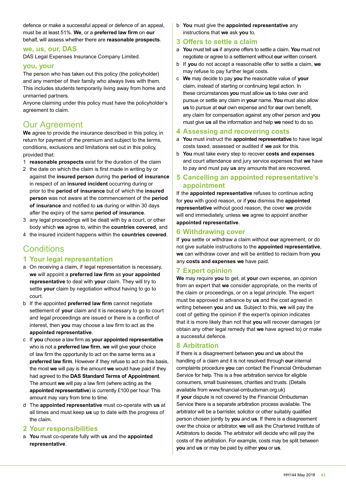defence or make a successful appeal or defence of an appeal, must be at least 51%. **We**, or a **preferred law firm** on **our** behalf, will assess whether there are **reasonable prospects**.

## **we, us, our, DAS**

DAS Legal Expenses Insurance Company Limited.

### **you, your**

The person who has taken out this policy (the policyholder) and any member of their family who always lives with them. This includes students temporarily living away from home and unmarried partners.

Anyone claiming under this policy must have the policyholder's agreement to claim.

## Our Agreement

**We** agree to provide the insurance described in this policy, in return for payment of the premium and subject to the terms, conditions, exclusions and limitations set out in this policy, provided that:

- 1 **reasonable prospects** exist for the duration of the claim
- 2 the date on which the claim is first made in writing by or against the **insured person** during the **period of insurance** in respect of an **insured incident** occurring during or prior to the **period of insurance** but of which the **insured person** was not aware at the commencement of the **period of insurance** and notified to **us** during or within 30 days after the expiry of the same **period of insurance**.
- 3 any legal proceedings will be dealt with by a court, or other body which **we** agree to, within the **countries covered**, and
- 4 the insured incident happens within the **countries covered**.

## **Conditions**

## **1 Your legal representation**

- a On receiving a claim, if legal representation is necessary, **we** will appoint a **preferred law firm** as **your appointed representative** to deal with **your** claim. They will try to settle **your** claim by negotiation without having to go to court.
- b If the appointed **preferred law firm** cannot negotiate settlement of **your** claim and it is necessary to go to court and legal proceedings are issued or there is a conflict of interest, then **you** may choose a law firm to act as the **appointed representative**.
- c If **you** choose a law firm as **your appointed representative** who is not a **preferred law firm**, **we** will give **your** choice of law firm the opportunity to act on the same terms as a **preferred law firm**. However if they refuse to act on this basis, the most **we** will pay is the amount **we** would have paid if they had agreed to the **DAS Standard Terms of Appointment**. The amount **we** will pay a law firm (where acting as the **appointed representative**) is currently £100 per hour. This amount may vary from time to time.
- d The **appointed representative** must co-operate with **us** at all times and must keep **us** up to date with the progress of the claim.

## **2 Your responsibilities**

a **You** must co-operate fully with **us** and the **appointed representative**.

b **You** must give the **appointed representative** any instructions that **we** ask **you** to.

## **3 Offers to settle a claim**

- a **You** must tell **us** if anyone offers to settle a claim. **You** must not negotiate or agree to a settlement without **our** written consent.
- b If **you** do not accept a reasonable offer to settle a claim, **we** may refuse to pay further legal costs.
- c **We** may decide to pay **you** the reasonable value of **your** claim, instead of starting or continuing legal action. In these circumstances **you** must allow **us** to take over and pursue or settle any claim in **your** name. **You** must also allow **us** to pursue at **our** own expense and for **our** own benefit, any claim for compensation against any other person and **you** must give **us** all the information and help **we** need to do so.

### **4 Assessing and recovering costs**

- a **You** must instruct the **appointed representative** to have legal costs taxed, assessed or audited if **we** ask for this.
- b **You** must take every step to recover **costs and expenses** and court attendance and jury service expenses that **we** have to pay and must pay **us** any amounts that are recovered.

## **5 Cancelling an appointed representative's appointment**

If the **appointed representative** refuses to continue acting for **you** with good reason, or if **you** dismiss the **appointed representative** without good reason, the cover **we** provide will end immediately, unless **we** agree to appoint another **appointed representative**.

## **6 Withdrawing cover**

If **you** settle or withdraw a claim without **our** agreement, or do not give suitable instructions to the **appointed representative**, **we** can withdraw cover and will be entitled to reclaim from **you** any **costs and expenses we** have paid.

## **7 Expert opinion**

**We** may require **you** to get, at **your** own expense, an opinion from an expert that **we** consider appropriate, on the merits of the claim or proceedings, or on a legal principle. The expert must be approved in advance by **us** and the cost agreed in writing between **you** and **us**. Subject to this, **we** will pay the cost of getting the opinion if the expert's opinion indicates that it is more likely than not that **you** will recover damages (or obtain any other legal remedy that **we** have agreed to) or make a successful defence.

## **8 Arbitration**

If there is a disagreement between **you** and **us** about the handling of a claim and it is not resolved through **our** internal complaints procedure **you** can contact the Financial Ombudsman Service for help. This is a free arbitration service for eligible consumers, small businesses, charities and trusts. (Details available from www.financial-ombudsman.org.uk) If **your** dispute is not covered by the Financial Ombudsman Service there is a separate arbitration process available. The arbitrator will be a barrister, solicitor or other suitably qualified person chosen jointly by **you** and **us**. If there is a disagreement over the choice or arbitrator, **we** will ask the Chartered Institute of Arbitrators to decide. The arbitrator will decide who will pay the costs of the arbitration. For example, costs may be split between **you** and **us** or may be paid by either **you** or **us**.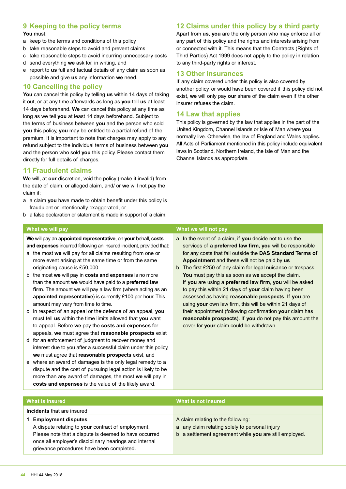## **9 Keeping to the policy terms**

#### **You** must:

- a keep to the terms and conditions of this policy
- b take reasonable steps to avoid and prevent claims
- c take reasonable steps to avoid incurring unnecessary costs
- d send everything **we** ask for, in writing, and
- e report to **us** full and factual details of any claim as soon as possible and give **us** any information **we** need.

## **10 Cancelling the policy**

**You** can cancel this policy by telling **us** within 14 days of taking it out, or at any time afterwards as long as **you** tell **us** at least 14 days beforehand. **We** can cancel this policy at any time as long as we tell **you** at least 14 days beforehand. Subject to the terms of business between **you** and the person who sold **you** this policy, **you** may be entitled to a partial refund of the premium. It is important to note that charges may apply to any refund subject to the individual terms of business between **you** and the person who sold **you** this policy. Please contact them directly for full details of charges.

## **11 Fraudulent claims**

**We** will, at **our** discretion, void the policy (make it invalid) from the date of claim, or alleged claim, and/ or **we** will not pay the claim if:

- a a claim **you** have made to obtain benefit under this policy is fraudulent or intentionally exaggerated, or
- b a false declaration or statement is made in support of a claim.

**We** will pay an **appointed representative**, on **your** behalf, c**osts and expenses** incurred following an insured incident, provided that:

- a the most **we** will pay for all claims resulting from one or more event arising at the same time or from the same originating cause is £50,000
- b the most **we** will pay in **costs and expenses** is no more than the amount **we** would have paid to a **preferred law firm**. The amount we will pay a law firm (where acting as an **appointed representative**) is currently £100 per hour. This amount may vary from time to time.
- c in respect of an appeal or the defence of an appeal, **you** must tell **us** within the time limits allowed that **you** want to appeal. Before **we** pay the **costs and expenses** for appeals, **we** must agree that **reasonable prospects** exist
- d for an enforcement of judgment to recover money and interest due to you after a successful claim under this policy, **we** must agree that **reasonable prospects** exist, and
- e where an award of damages is the only legal remedy to a dispute and the cost of pursuing legal action is likely to be more than any award of damages, the most **we** will pay in **costs and expenses** is the value of the likely award.

## **12 Claims under this policy by a third party**

Apart from **us**, **you** are the only person who may enforce all or any part of this policy and the rights and interests arising from or connected with it. This means that the Contracts (Rights of Third Parties) Act 1999 does not apply to the policy in relation to any third-party rights or interest.

## **13 Other insurances**

If any claim covered under this policy is also covered by another policy, or would have been covered if this policy did not exist, **we** will only pay **our** share of the claim even if the other insurer refuses the claim.

## **14 Law that applies**

This policy is governed by the law that applies in the part of the United Kingdom, Channel Islands or Isle of Man where **you** normally live. Otherwise, the law of England and Wales applies. All Acts of Parliament mentioned in this policy include equivalent laws in Scotland, Northern Ireland, the Isle of Man and the Channel Islands as appropriate.

### **What we will pay What we will not pay**

- a In the event of a claim, if **you** decide not to use the services of a **preferred law firm, you** will be responsible for any costs that fall outside the **DAS Standard Terms of Appointment** and these will not be paid by **us**
- b The first £250 of any claim for legal nuisance or trespass. **You** must pay this as soon as **we** accept the claim. If **you** are using a **preferred law firm**, **you** will be asked to pay this within 21 days of **your** claim having been assessed as having **reasonable prospects**. If **you** are using **your** own law firm, this will be within 21 days of their appointment (following confirmation **your** claim has **reasonable prospects**). If **you** do not pay this amount the cover for **your** claim could be withdrawn.

| What is insured                                                                                                                                                                                                                                  | What is not insured                                                                                                                            |
|--------------------------------------------------------------------------------------------------------------------------------------------------------------------------------------------------------------------------------------------------|------------------------------------------------------------------------------------------------------------------------------------------------|
| <b>Incidents</b> that are insured                                                                                                                                                                                                                |                                                                                                                                                |
| <b>Employment disputes</b><br>A dispute relating to your contract of employment.<br>Please note that a dispute is deemed to have occurred<br>once all employer's disciplinary hearings and internal<br>grievance procedures have been completed. | A claim relating to the following:<br>a any claim relating solely to personal injury<br>b a settlement agreement while you are still employed. |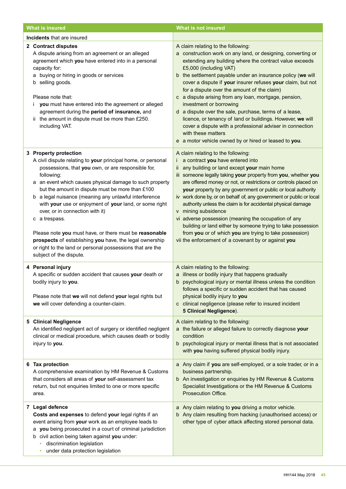| <b>What is insured</b>                                                                                                                                                                                                                                                                                                                                                                                                                                                                                                                                                                                                                                           | <b>What is not insured</b>                                                                                                                                                                                                                                                                                                                                                                                                                                                                                                                                                                                                                                                                                                             |
|------------------------------------------------------------------------------------------------------------------------------------------------------------------------------------------------------------------------------------------------------------------------------------------------------------------------------------------------------------------------------------------------------------------------------------------------------------------------------------------------------------------------------------------------------------------------------------------------------------------------------------------------------------------|----------------------------------------------------------------------------------------------------------------------------------------------------------------------------------------------------------------------------------------------------------------------------------------------------------------------------------------------------------------------------------------------------------------------------------------------------------------------------------------------------------------------------------------------------------------------------------------------------------------------------------------------------------------------------------------------------------------------------------------|
| <b>Incidents</b> that are insured                                                                                                                                                                                                                                                                                                                                                                                                                                                                                                                                                                                                                                |                                                                                                                                                                                                                                                                                                                                                                                                                                                                                                                                                                                                                                                                                                                                        |
| 2 Contract disputes<br>A dispute arising from an agreement or an alleged<br>agreement which you have entered into in a personal<br>capacity for:<br>a buying or hiring in goods or services<br>b selling goods.<br>Please note that:<br>you must have entered into the agreement or alleged<br>L<br>agreement during the period of insurance, and<br>the amount in dispute must be more than £250.<br>including VAT.                                                                                                                                                                                                                                             | A claim relating to the following:<br>a construction work on any land, or designing, converting or<br>extending any building where the contract value exceeds<br>£5,000 (including VAT)<br>b the settlement payable under an insurance policy (we will<br>cover a dispute if your insurer refuses your claim, but not<br>for a dispute over the amount of the claim)<br>c a dispute arising from any loan, mortgage, pension,<br>investment or borrowing<br>d a dispute over the sale, purchase, terms of a lease,<br>licence, or tenancy of land or buildings. However, we will<br>cover a dispute with a professional adviser in connection<br>with these matters<br>e a motor vehicle owned by or hired or leased to you.           |
| 3 Property protection<br>A civil dispute relating to your principal home, or personal<br>possessions, that you own, or are responsible for,<br>following:<br>a an event which causes physical damage to such property<br>but the amount in dispute must be more than £100<br>b a legal nuisance (meaning any unlawful interference<br>with your use or enjoyment of your land, or some right<br>over, or in connection with it)<br>a trespass.<br>с<br>Please note you must have, or there must be reasonable<br>prospects of establishing you have, the legal ownership<br>or right to the land or personal possessions that are the<br>subject of the dispute. | A claim relating to the following:<br>i a contract you have entered into<br>ii any building or land except your main home<br>iii someone legally taking your property from you, whether you<br>are offered money or not, or restrictions or controls placed on<br>your property by any government or public or local authority<br>iv work done by, or on behalf of, any government or public or local<br>authority unless the claim is for accidental physical damage<br>v mining subsidence<br>vi adverse possession (meaning the occupation of any<br>building or land either by someone trying to take possession<br>from you or of which you are trying to take possession)<br>vii the enforcement of a covenant by or against you |
| 4 Personal injury<br>A specific or sudden accident that causes your death or<br>bodily injury to you.<br>Please note that we will not defend your legal rights but<br>we will cover defending a counter-claim.                                                                                                                                                                                                                                                                                                                                                                                                                                                   | A claim relating to the following:<br>a illness or bodily injury that happens gradually<br>psychological injury or mental illness unless the condition<br>b<br>follows a specific or sudden accident that has caused<br>physical bodily injury to you<br>c clinical negligence (please refer to insured incident<br><b>5 Clinical Negligence).</b>                                                                                                                                                                                                                                                                                                                                                                                     |
| <b>5 Clinical Negligence</b><br>An identified negligent act of surgery or identified negligent<br>clinical or medical procedure, which causes death or bodily<br>injury to you.                                                                                                                                                                                                                                                                                                                                                                                                                                                                                  | A claim relating to the following:<br>a the failure or alleged failure to correctly diagnose your<br>condition<br>b psychological injury or mental illness that is not associated<br>with you having suffered physical bodily injury.                                                                                                                                                                                                                                                                                                                                                                                                                                                                                                  |
| 6 Tax protection<br>A comprehensive examination by HM Revenue & Customs<br>that considers all areas of your self-assessment tax<br>return, but not enquiries limited to one or more specific<br>area.                                                                                                                                                                                                                                                                                                                                                                                                                                                            | a Any claim if you are self-employed, or a sole trader, or in a<br>business partnership.<br>b An investigation or enquiries by HM Revenue & Customs<br>Specialist Investigations or the HM Revenue & Customs<br>Prosecution Office.                                                                                                                                                                                                                                                                                                                                                                                                                                                                                                    |
| 7 Legal defence<br>Costs and expenses to defend your legal rights if an<br>event arising from your work as an employee leads to<br>a you being prosecuted in a court of criminal jurisdiction<br>b civil action being taken against you under:<br>discrimination legislation<br>٠<br>under data protection legislation                                                                                                                                                                                                                                                                                                                                           | a Any claim relating to you driving a motor vehicle.<br>b Any claim resulting from hacking (unauthorised access) or<br>other type of cyber attack affecting stored personal data.                                                                                                                                                                                                                                                                                                                                                                                                                                                                                                                                                      |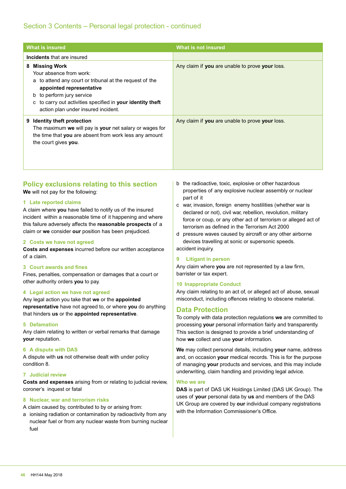## Section 3 Contents – Personal legal protection - continued

| What is insured                                                                                                                                                                                                                                                                 | What is not insured                             |
|---------------------------------------------------------------------------------------------------------------------------------------------------------------------------------------------------------------------------------------------------------------------------------|-------------------------------------------------|
| <b>Incidents</b> that are insured                                                                                                                                                                                                                                               |                                                 |
| <b>Missing Work</b><br>8<br>Your absence from work:<br>a to attend any court or tribunal at the request of the<br>appointed representative<br>b to perform jury service<br>to carry out activities specified in your identity theft<br>C<br>action plan under insured incident. | Any claim if you are unable to prove your loss. |
| <b>Identity theft protection</b><br>9<br>The maximum we will pay is your net salary or wages for<br>the time that you are absent from work less any amount<br>the court gives you.                                                                                              | Any claim if you are unable to prove your loss. |

## **Policy exclusions relating to this section We** will not pay for the following:

### **1 Late reported claims**

A claim where **you** have failed to notify us of the insured incident within a reasonable time of it happening and where this failure adversely affects the **reasonable prospects** of a claim or **we** consider **our** position has been prejudiced.

#### **2 Costs we have not agreed**

**Costs and expenses** incurred before our written acceptance of a claim.

### **3 Court awards and fines**

Fines, penalties, compensation or damages that a court or other authority orders **you** to pay.

#### **4 Legal action we have not agreed**

Any legal action you take that **we** or the **appointed representative** have not agreed to, or where **you** do anything that hinders **us** or the **appointed representative**.

#### **5 Defamation**

Any claim relating to written or verbal remarks that damage **your** reputation.

#### **6 A dispute with DAS**

A dispute with **us** not otherwise dealt with under policy condition 8.

#### **7 Judicial review**

**Costs and expenses** arising from or relating to judicial review, coroner's inquest or fatal

#### **8 Nuclear, war and terrorism risks**

A claim caused by, contributed to by or arising from:

a ionising radiation or contamination by radioactivity from any nuclear fuel or from any nuclear waste from burning nuclear fuel

- b the radioactive, toxic, explosive or other hazardous properties of any explosive nuclear assembly or nuclear part of it
- c war, invasion, foreign enemy hostilities (whether war is declared or not), civil war, rebellion, revolution, military force or coup, or any other act of terrorism or alleged act of terrorism as defined in the Terrorism Act 2000

d pressure waves caused by aircraft or any other airborne devices travelling at sonic or supersonic speeds. accident inquiry.

#### **9 Litigant in person**

Any claim where **you** are not represented by a law firm, barrister or tax expert.

#### **10 Inappropriate Conduct**

Any claim relating to an act of, or alleged act of abuse, sexual misconduct, including offences relating to obscene material.

### **Data Protection**

To comply with data protection regulations **we** are committed to processing **your** personal information fairly and transparently. This section is designed to provide a brief understanding of how **we** collect and use **your** information.

**We** may collect personal details, including **your** name, address and, on occasion **your** medical records. This is for the purpose of managing **your** products and services, and this may include underwriting, claim handling and providing legal advice.

#### **Who we are**

**DAS** is part of DAS UK Holdings Limited (DAS UK Group). The uses of **your** personal data by **us** and members of the DAS UK Group are covered by **our** individual company registrations with the Information Commissioner's Office.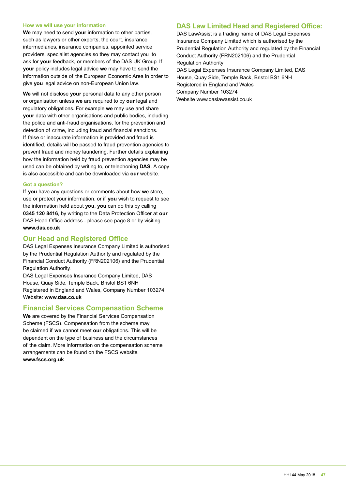#### **How we will use your information**

**We** may need to send **your** information to other parties, such as lawyers or other experts, the court, insurance intermediaries, insurance companies, appointed service providers, specialist agencies so they may contact you to ask for **your** feedback, or members of the DAS UK Group. If **your** policy includes legal advice **we** may have to send the information outside of the European Economic Area in order to give **you** legal advice on non-European Union law.

**We** will not disclose **your** personal data to any other person or organisation unless **we** are required to by **our** legal and regulatory obligations. For example **we** may use and share **your** data with other organisations and public bodies, including the police and anti-fraud organisations, for the prevention and detection of crime, including fraud and financial sanctions. If false or inaccurate information is provided and fraud is identified, details will be passed to fraud prevention agencies to prevent fraud and money laundering. Further details explaining how the information held by fraud prevention agencies may be used can be obtained by writing to, or telephoning **DAS**. A copy is also accessible and can be downloaded via **our** website.

#### **Got a question?**

If **you** have any questions or comments about how **we** store, use or protect your information, or if **you** wish to request to see the information held about **you**, **you** can do this by calling **0345 120 8416**, by writing to the Data Protection Officer at **our** DAS Head Office address - please see page 8 or by visiting **www.das.co.uk**

## **Our Head and Registered Office**

DAS Legal Expenses Insurance Company Limited is authorised by the Prudential Regulation Authority and regulated by the Financial Conduct Authority (FRN202106) and the Prudential Regulation Authority.

DAS Legal Expenses Insurance Company Limited, DAS House, Quay Side, Temple Back, Bristol BS1 6NH Registered in England and Wales, Company Number 103274 Website: **www.das.co.uk** 

## **Financial Services Compensation Scheme**

**We** are covered by the Financial Services Compensation Scheme (FSCS). Compensation from the scheme may be claimed if **we** cannot meet **our** obligations. This will be dependent on the type of business and the circumstances of the claim. More information on the compensation scheme arrangements can be found on the FSCS website. **www.fscs.org.uk** 

## **DAS Law Limited Head and Registered Office:**

DAS LawAssist is a trading name of DAS Legal Expenses Insurance Company Limited which is authorised by the Prudential Regulation Authority and regulated by the Financial Conduct Authority (FRN202106) and the Prudential Regulation Authority

DAS Legal Expenses Insurance Company Limited, DAS House, Quay Side, Temple Back, Bristol BS1 6NH Registered in England and Wales Company Number 103274 Website www.daslawassist.co.uk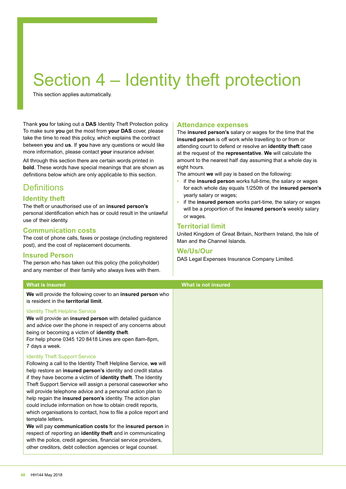## Section 4 – Identity theft protection

This section applies automatically.

Thank **you** for taking out a **DAS** Identity Theft Protection policy. To make sure **you** get the most from **your DAS** cover, please take the time to read this policy, which explains the contract between **you** and **us**. If **you** have any questions or would like more information, please contact **your** insurance adviser.

All through this section there are certain words printed in **bold**. These words have special meanings that are shown as definitions below which are only applicable to this section.

## **Definitions**

## **Identity theft**

The theft or unauthorised use of an **insured person's** personal identification which has or could result in the unlawful use of their identity.

## **Communication costs**

The cost of phone calls, faxes or postage (including registered post), and the cost of replacement documents.

## **Insured Person**

The person who has taken out this policy (the policyholder) and any member of their family who always lives with them.

### **What is insured What is not insured**

**We** will provide the following cover to an **insured person** who is resident in the **territorial limit**.

### Identity Theft Helpline Service

**We** will provide an **insured person** with detailed guidance and advice over the phone in respect of any concerns about being or becoming a victim of **identity theft**.

For help phone 0345 120 8418 Lines are open 8am-8pm, 7 days a week.

### Identity Theft Support Service

Following a call to the Identity Theft Helpline Service, **we** will help restore an **insured person's** identity and credit status if they have become a victim of **identity theft**. The Identity Theft Support Service will assign a personal caseworker who will provide telephone advice and a personal action plan to help regain the **insured person's** identity. The action plan could include information on how to obtain credit reports, which organisations to contact, how to file a police report and template letters.

**We** will pay **communication costs** for the **insured person** in respect of reporting an **identity theft** and in communicating with the police, credit agencies, financial service providers, other creditors, debt collection agencies or legal counsel.

### **Attendance expenses**

The **insured person's** salary or wages for the time that the **insured person** is off work while travelling to or from or attending court to defend or resolve an **identity theft** case at the request of the **representative**. **We** will calculate the amount to the nearest half day assuming that a whole day is eight hours.

The amount **we** will pay is based on the following:

- if the **insured person** works full-time, the salary or wages for each whole day equals 1/250th of the **insured person's** yearly salary or wages;
- if the **insured person** works part-time, the salary or wages will be a proportion of the **insured person's** weekly salary or wages.

## **Territorial limit**

United Kingdom of Great Britain, Northern Ireland, the Isle of Man and the Channel Islands.

### **We/Us/Our**

DAS Legal Expenses Insurance Company Limited.

**48** HH144 May 2018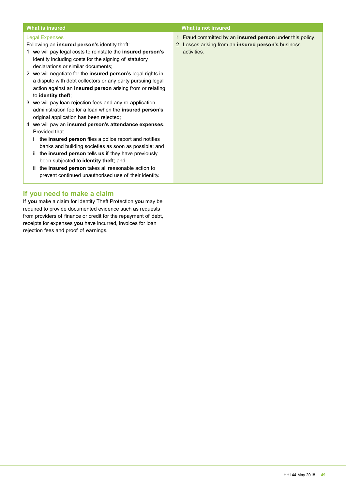#### **What is insured What is not insured** Legal Expenses Following an **insured person's** identity theft: 1 **we** will pay legal costs to reinstate the **insured person's** identity including costs for the signing of statutory declarations or similar documents; 2 **we** will negotiate for the **insured person's** legal rights in a dispute with debt collectors or any party pursuing legal action against an **insured person** arising from or relating to **identity theft**; 3 **we** will pay loan rejection fees and any re-application administration fee for a loan when the **insured person's**  original application has been rejected; 4 **we** will pay an **insured person's attendance expenses**. Provided that i the **insured person** files a police report and notifies banks and building societies as soon as possible; and ii the **insured person** tells **us** if they have previously been subjected to **identity theft**; and 1 Fraud committed by an **insured person** under this policy. 2 Losses arising from an **insured person's** business activities.

**If you need to make a claim**

If **you** make a claim for Identity Theft Protection **you** may be required to provide documented evidence such as requests from providers of finance or credit for the repayment of debt, receipts for expenses **you** have incurred, invoices for loan rejection fees and proof of earnings.

iii the **insured person** takes all reasonable action to prevent continued unauthorised use of their identity.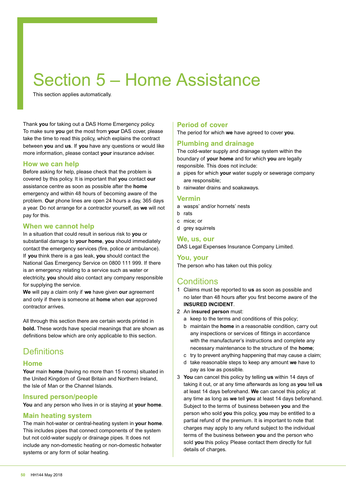## Section 5 – Home Assistance

This section applies automatically.

Thank **you** for taking out a DAS Home Emergency policy. To make sure **you** get the most from **your** DAS cover, please take the time to read this policy, which explains the contract between **you** and **us**. If **you** have any questions or would like more information, please contact **your** insurance adviser.

## **How we can help**

Before asking for help, please check that the problem is covered by this policy. It is important that **you** contact **our** assistance centre as soon as possible after the **home** emergency and within 48 hours of becoming aware of the problem. **Our** phone lines are open 24 hours a day, 365 days a year. Do not arrange for a contractor yourself, as **we** will not pay for this.

## **When we cannot help**

In a situation that could result in serious risk to **you** or substantial damage to **your home**, **you** should immediately contact the emergency services (fire, police or ambulance). If **you** think there is a gas leak, **you** should contact the National Gas Emergency Service on 0800 111 999. If there is an emergency relating to a service such as water or electricity, **you** should also contact any company responsible for supplying the service.

**We** will pay a claim only if **we** have given **our** agreement and only if there is someone at **home** when **our** approved contractor arrives.

All through this section there are certain words printed in **bold.** These words have special meanings that are shown as definitions below which are only applicable to this section.

## **Definitions**

## **Home**

**Your** main **home** (having no more than 15 rooms) situated in the United Kingdom of Great Britain and Northern Ireland, the Isle of Man or the Channel Islands.

## **Insured person/people**

**You** and any person who lives in or is staying at **your home**.

## **Main heating system**

The main hot-water or central-heating system in **your home**. This includes pipes that connect components of the system but not cold-water supply or drainage pipes. It does not include any non-domestic heating or non-domestic hotwater systems or any form of solar heating.

## **Period of cover**

The period for which **we** have agreed to cover **you**.

## **Plumbing and drainage**

The cold-water supply and drainage system within the boundary of **your home** and for which **you** are legally responsible. This does not include:

- a pipes for which **your** water supply or sewerage company are responsible;
- b rainwater drains and soakaways.

### **Vermin**

- a wasps' and/or hornets' nests
- b rats
- c mice; or
- d grey squirrels

## **We, us, our**

DAS Legal Expenses Insurance Company Limited.

### **You, your**

The person who has taken out this policy.

## **Conditions**

- 1 Claims must be reported to **us** as soon as possible and no later than 48 hours after you first become aware of the **INSURED INCIDENT**.
- 2 An **insured person** must:
	- a keep to the terms and conditions of this policy;
	- b maintain the **home** in a reasonable condition, carry out any inspections or services of fittings in accordance with the manufacturer's instructions and complete any necessary maintenance to the structure of the **home**;
	- c try to prevent anything happening that may cause a claim;
	- d take reasonable steps to keep any amount **we** have to pay as low as possible.
- 3 **You** can cancel this policy by telling **us** within 14 days of taking it out, or at any time afterwards as long as **you** tell **us** at least 14 days beforehand. **We** can cancel this policy at any time as long as **we** tell **you** at least 14 days beforehand. Subject to the terms of business between **you** and the person who sold **you** this policy, **you** may be entitled to a partial refund of the premium. It is important to note that charges may apply to any refund subject to the individual terms of the business between **you** and the person who sold **you** this policy. Please contact them directly for full details of charges.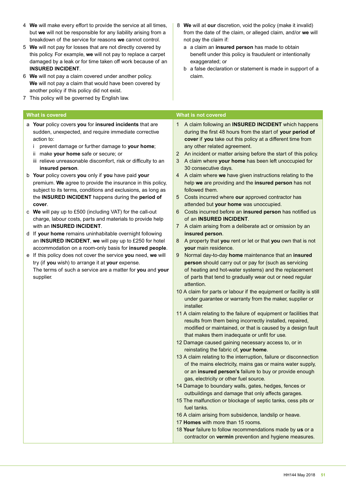- 4 **We** will make every effort to provide the service at all times, but **we** will not be responsible for any liability arising from a breakdown of the service for reasons **we** cannot control.
- 5 **We** will not pay for losses that are not directly covered by this policy. For example, **we** will not pay to replace a carpet damaged by a leak or for time taken off work because of an **INSURED INCIDENT**.
- 6 **We** will not pay a claim covered under another policy. **We** will not pay a claim that would have been covered by another policy if this policy did not exist.
- 7 This policy will be governed by English law.

- a **Your** policy covers **you** for **insured incidents** that are sudden, unexpected, and require immediate corrective action to:
	- i prevent damage or further damage to **your home**;
	- ii make **your home** safe or secure; or
	- iii relieve unreasonable discomfort, risk or difficulty to an **insured person**.
- b **Your** policy covers **you** only if **you** have paid **your** premium. **We** agree to provide the insurance in this policy, subject to its terms, conditions and exclusions, as long as the **INSURED INCIDENT** happens during the **period of cover**.
- c **We** will pay up to £500 (including VAT) for the call-out charge, labour costs, parts and materials to provide help with an **INSURED INCIDENT**.
- d If **your home** remains uninhabitable overnight following an **INSURED INCIDENT**, **we** will pay up to £250 for hotel accommodation on a room-only basis for **insured people**.
- e If this policy does not cover the service **you** need, **we** will try (if **you** wish) to arrange it at **your** expense. The terms of such a service are a matter for **you** and **your** supplier.
- 8 **We** will at **our** discretion, void the policy (make it invalid) from the date of the claim, or alleged claim, and/or **we** will not pay the claim if:
	- a a claim an **insured person** has made to obtain benefit under this policy is fraudulent or intentionally exaggerated; or
	- b a false declaration or statement is made in support of a claim.

#### **What is covered What is not covered**

- 1 A claim following an **INSURED INCIDENT** which happens during the first 48 hours from the start of **your period of cover** if **you** take out this policy at a different time from any other related agreement.
- 2 An incident or matter arising before the start of this policy.
- 3 A claim where **your home** has been left unoccupied for 30 consecutive days.
- 4 A claim where **we** have given instructions relating to the help **we** are providing and the **insured person** has not followed them.
- 5 Costs incurred where **our** approved contractor has attended but **your home** was unoccupied.
- 6 Costs incurred before an **insured person** has notified us of an **INSURED INCIDENT**.
- 7 A claim arising from a deliberate act or omission by an **insured person**.
- 8 A property that **you** rent or let or that **you** own that is not **your** main residence.
- 9 Normal day-to-day **home** maintenance that an **insured person** should carry out or pay for (such as servicing of heating and hot-water systems) and the replacement of parts that tend to gradually wear out or need regular attention.
- 10 A claim for parts or labour if the equipment or facility is still under guarantee or warranty from the maker, supplier or installer.
- 11 A claim relating to the failure of equipment or facilities that results from them being incorrectly installed, repaired, modified or maintained, or that is caused by a design fault that makes them inadequate or unfit for use.
- 12 Damage caused gaining necessary access to, or in reinstating the fabric of, **your home**.
- 13 A claim relating to the interruption, failure or disconnection of the mains electricity, mains gas or mains water supply, or an **insured person's** failure to buy or provide enough gas, electricity or other fuel source.
- 14 Damage to boundary walls, gates, hedges, fences or outbuildings and damage that only affects garages.
- 15 The malfunction or blockage of septic tanks, cess pits or fuel tanks.
- 16 A claim arising from subsidence, landslip or heave.
- 17 **Homes** with more than 15 rooms.
- 18 **Your** failure to follow recommendations made by **us** or a contractor on **vermin** prevention and hygiene measures.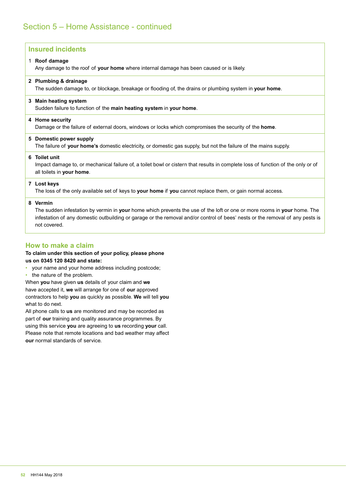| <b>Insured incidents</b>                                                                                                                                                                                                                                                             |  |
|--------------------------------------------------------------------------------------------------------------------------------------------------------------------------------------------------------------------------------------------------------------------------------------|--|
| 1 Roof damage<br>Any damage to the roof of your home where internal damage has been caused or is likely.                                                                                                                                                                             |  |
| 2 Plumbing & drainage<br>The sudden damage to, or blockage, breakage or flooding of, the drains or plumbing system in <b>your home</b> .                                                                                                                                             |  |
| 3 Main heating system<br>Sudden failure to function of the main heating system in your home.                                                                                                                                                                                         |  |
| 4 Home security<br>Damage or the failure of external doors, windows or locks which compromises the security of the <b>home</b> .                                                                                                                                                     |  |
| 5 Domestic power supply<br>The failure of your home's domestic electricity, or domestic gas supply, but not the failure of the mains supply.                                                                                                                                         |  |
| 6 Toilet unit<br>Impact damage to, or mechanical failure of, a toilet bowl or cistern that results in complete loss of function of the only or of<br>all toilets in your home.                                                                                                       |  |
| 7 Lost keys<br>The loss of the only available set of keys to your home if you cannot replace them, or gain normal access.                                                                                                                                                            |  |
| 8 Vermin<br>The sudden infestation by vermin in your home which prevents the use of the loft or one or more rooms in your home. The<br>infestation of any domestic outbuilding or garage or the removal and/or control of bees' nests or the removal of any pests is<br>not covered. |  |

## **How to make a claim**

### **To claim under this section of your policy, please phone us on 0345 120 8420 and state:**

- your name and your home address including postcode;
- the nature of the problem.

When **you** have given **us** details of your claim and **we** have accepted it, **we** will arrange for one of **our** approved contractors to help **you** as quickly as possible. **We** will tell **you** what to do next.

All phone calls to **us** are monitored and may be recorded as part of **our** training and quality assurance programmes. By using this service **you** are agreeing to **us** recording **your** call. Please note that remote locations and bad weather may affect **our** normal standards of service.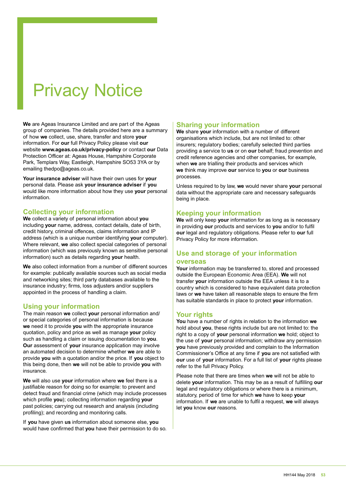## Privacy Notice

**We** are Ageas Insurance Limited and are part of the Ageas group of companies. The details provided here are a summary of how **we** collect, use, share, transfer and store **your** information. For **our** full Privacy Policy please visit **our** website **www.ageas.co.uk/privacy-policy** or contact **our** Data Protection Officer at: Ageas House, Hampshire Corporate Park, Templars Way, Eastleigh, Hampshire SO53 3YA or by emailing thedpo@ageas.co.uk.

**Your insurance adviser** will have their own uses for **your** personal data. Please ask **your insurance adviser** if **you** would like more information about how they use **your** personal information.

## **Collecting your information**

**We** collect a variety of personal information about **you** including **your** name, address, contact details, date of birth, credit history, criminal offences, claims information and IP address (which is a unique number identifying **your** computer). Where relevant, **we** also collect special categories of personal information (which was previously known as sensitive personal information) such as details regarding **your** health.

**We** also collect information from a number of different sources for example: publically available sources such as social media and networking sites; third party databases available to the insurance industry; firms, loss adjusters and/or suppliers appointed in the process of handling a claim.

## **Using your information**

The main reason **we** collect **your** personal information and/ or special categories of personal information is because **we** need it to provide **you** with the appropriate insurance quotation, policy and price as well as manage **your** policy such as handling a claim or issuing documentation to **you**. **Our** assessment of **your** insurance application may involve an automated decision to determine whether **we** are able to provide **you** with a quotation and/or the price. If **you** object to this being done, then **we** will not be able to provide **you** with insurance.

**We** will also use **your** information where **we** feel there is a justifiable reason for doing so for example: to prevent and detect fraud and financial crime (which may include processes which profile **you**); collecting information regarding **your** past policies; carrying out research and analysis (including profiling); and recording and monitoring calls.

If **you** have given **us** information about someone else, **you** would have confirmed that **you** have their permission to do so.

## **Sharing your information**

**We** share **your** information with a number of different organisations which include, but are not limited to: other insurers; regulatory bodies; carefully selected third parties providing a service to **us** or on **our** behalf; fraud prevention and credit reference agencies and other companies, for example, when **we** are trialling their products and services which **we** think may improve **our** service to **you** or **our** business processes.

Unless required to by law, **we** would never share **your** personal data without the appropriate care and necessary safeguards being in place.

## **Keeping your information**

**We** will only keep **your** information for as long as is necessary in providing **our** products and services to **you** and/or to fulfil **our** legal and regulatory obligations. Please refer to **our** full Privacy Policy for more information.

## **Use and storage of your information**

### **overseas**

**Your** information may be transferred to, stored and processed outside the European Economic Area (EEA). **We** will not transfer **your** information outside the EEA unless it is to a country which is considered to have equivalent data protection laws or **we** have taken all reasonable steps to ensure the firm has suitable standards in place to protect **your** information.

## **Your rights**

**You** have a number of rights in relation to the information **we** hold about **you**, these rights include but are not limited to: the right to a copy of **your** personal information **we** hold; object to the use of **your** personal information; withdraw any permission **you** have previously provided and complain to the Information Commissioner's Office at any time if **you** are not satisfied with **our** use of **your** information. For a full list of **your** rights please refer to the full Privacy Policy.

Please note that there are times when **we** will not be able to delete **your** information. This may be as a result of fulfilling **our** legal and regulatory obligations or where there is a minimum, statutory, period of time for which **we** have to keep **your** information. If **we** are unable to fulfil a request, **we** will always let **you** know **our** reasons.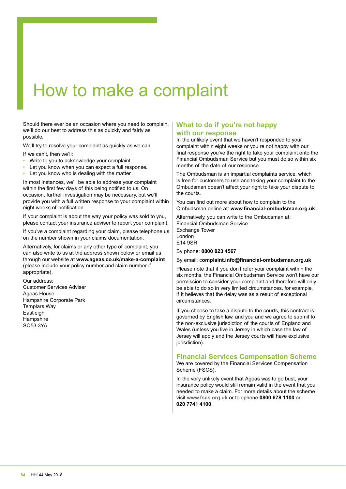## How to make a complaint

Should there ever be an occasion where you need to complain, we'll do our best to address this as quickly and fairly as possible.

We'll try to resolve your complaint as quickly as we can.

If we can't, then we'll:

- Write to you to acknowledge your complaint.
- Let you know when you can expect a full response.
- Let you know who is dealing with the matter

In most instances, we'll be able to address your complaint within the first few days of this being notified to us. On occasion, further investigation may be necessary, but we'll provide you with a full written response to your complaint within eight weeks of notification.

If your complaint is about the way your policy was sold to you, please contact your insurance adviser to report your complaint.

If you've a complaint regarding your claim, please telephone us on the number shown in your claims documentation.

Alternatively, for claims or any other type of complaint, you can also write to us at the address shown below or email us through our website at **www.ageas.co.uk/make-a-complaint** (please include your policy number and claim number if appropriate).

Our address: Customer Services Adviser Ageas House Hampshire Corporate Park Templars Way Eastleigh **Hampshire** SO53 3YA

## **What to do if you're not happy with our response**

In the unlikely event that we haven't responded to your complaint within eight weeks or you're not happy with our final response you've the right to take your complaint onto the Financial Ombudsman Service but you must do so within six months of the date of our response.

The Ombudsman is an impartial complaints service, which is free for customers to use and taking your complaint to the Ombudsman doesn't affect your right to take your dispute to the courts.

You can find out more about how to complain to the Ombudsman online at: **www.financial-ombudsman.org.uk**.

Alternatively, you can write to the Ombudsman at: Financial Ombudsman Service Exchange Tower London E14 9SR

By phone: **0800 023 4567**

By email: c**omplaint.info@financial-ombudsman.org.uk**

Please note that if you don't refer your complaint within the six months, the Financial Ombudsman Service won't have our permission to consider your complaint and therefore will only be able to do so in very limited circumstances, for example, if it believes that the delay was as a result of exceptional circumstances.

If you choose to take a dispute to the courts, this contract is governed by English law, and you and we agree to submit to the non-exclusive jurisdiction of the courts of England and Wales (unless you live in Jersey in which case the law of Jersey will apply and the Jersey courts will have exclusive jurisdiction).

## **Financial Services Compensation Scheme**

We are covered by the Financial Services Compensation Scheme (FSCS).

In the very unlikely event that Ageas was to go bust, your insurance policy would still remain valid in the event that you needed to make a claim. For more details about the scheme visit **www.fscs.org.uk** or telephone **0800 678 1100** or **020 7741 4100**.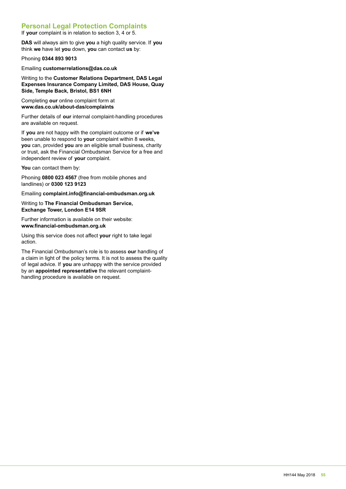## **Personal Legal Protection Complaints**

If **your** complaint is in relation to section 3, 4 or 5.

**DAS** will always aim to give **you** a high quality service. If **you** think **we** have let **you** down, **you** can contact **us** by:

Phoning **0344 893 9013**

Emailing **customerrelations@das.co.uk**

Writing to the **Customer Relations Department, DAS Legal Expenses Insurance Company Limited, DAS House, Quay Side, Temple Back, Bristol, BS1 6NH**

Completing **our** online complaint form at **www.das.co.uk/about-das/complaints**

Further details of **our** internal complaint-handling procedures are available on request.

If **you** are not happy with the complaint outcome or if **we've** been unable to respond to **your** complaint within 8 weeks, **you** can, provided **you** are an eligible small business, charity or trust, ask the Financial Ombudsman Service for a free and independent review of **your** complaint.

You can contact them by:

Phoning **0800 023 4567** (free from mobile phones and landlines) or **0300 123 9123**

Emailing **complaint.info@financial-ombudsman.org.uk**

Writing to **The Financial Ombudsman Service, Exchange Tower, London E14 9SR**

Further information is available on their website: **www.financial-ombudsman.org.uk**

Using this service does not affect **your** right to take legal action.

The Financial Ombudsman's role is to assess **our** handling of a claim in light of the policy terms. It is not to assess the quality of legal advice. If **you** are unhappy with the service provided by an **appointed representative** the relevant complainthandling procedure is available on request.